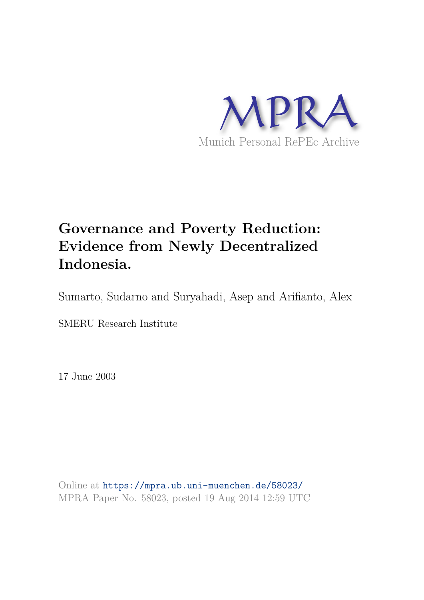

# **Governance and Poverty Reduction: Evidence from Newly Decentralized Indonesia.**

Sumarto, Sudarno and Suryahadi, Asep and Arifianto, Alex

SMERU Research Institute

17 June 2003

Online at https://mpra.ub.uni-muenchen.de/58023/ MPRA Paper No. 58023, posted 19 Aug 2014 12:59 UTC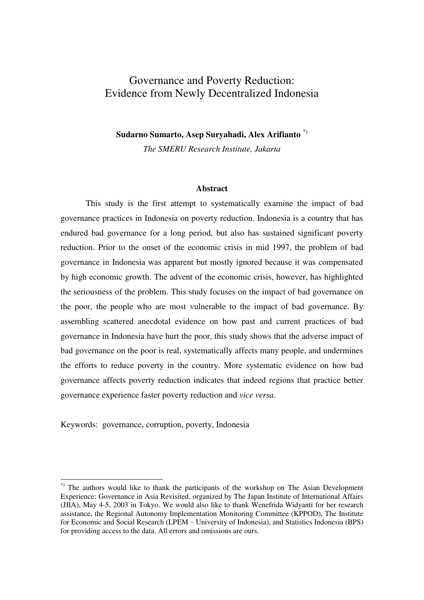# Governance and Poverty Reduction: Evidence from Newly Decentralized Indonesia

# **Sudarno Sumarto, Asep Suryahadi, Alex Arifianto** \*)

*The SMERU Research Institute, Jakarta* 

#### **Abstract**

This study is the first attempt to systematically examine the impact of bad governance practices in Indonesia on poverty reduction. Indonesia is a country that has endured bad governance for a long period, but also has sustained significant poverty reduction. Prior to the onset of the economic crisis in mid 1997, the problem of bad governance in Indonesia was apparent but mostly ignored because it was compensated by high economic growth. The advent of the economic crisis, however, has highlighted the seriousness of the problem. This study focuses on the impact of bad governance on the poor, the people who are most vulnerable to the impact of bad governance. By assembling scattered anecdotal evidence on how past and current practices of bad governance in Indonesia have hurt the poor, this study shows that the adverse impact of bad governance on the poor is real, systematically affects many people, and undermines the efforts to reduce poverty in the country. More systematic evidence on how bad governance affects poverty reduction indicates that indeed regions that practice better governance experience faster poverty reduction and *vice versa*.

Keywords: governance, corruption, poverty, Indonesia

-

<sup>\*)</sup> The authors would like to thank the participants of the workshop on The Asian Development Experience: Governance in Asia Revisited, organized by The Japan Institute of International Affairs (JIIA), May 4-5, 2003 in Tokyo. We would also like to thank Wenefrida Widyanti for her research assistance, the Regional Autonomy Implementation Monitoring Committee (KPPOD), The Institute for Economic and Social Research (LPEM – University of Indonesia), and Statistics Indonesia (BPS) for providing access to the data. All errors and omissions are ours.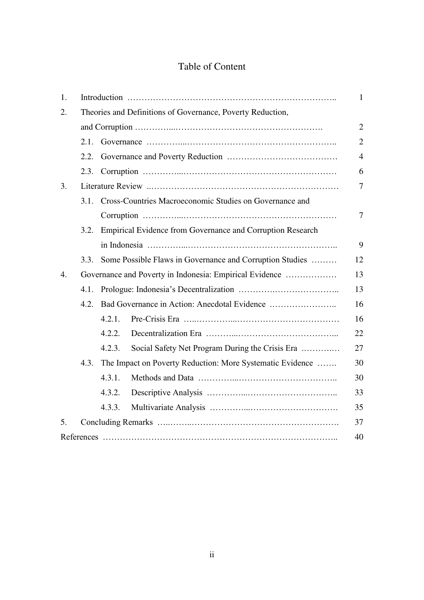# Table of Content

| 1. |                                                            |                                                                |                                                            |    |  |  |
|----|------------------------------------------------------------|----------------------------------------------------------------|------------------------------------------------------------|----|--|--|
| 2. | Theories and Definitions of Governance, Poverty Reduction, |                                                                |                                                            |    |  |  |
|    |                                                            |                                                                |                                                            |    |  |  |
|    | 2.1.                                                       |                                                                |                                                            |    |  |  |
|    | 2.2.                                                       |                                                                |                                                            |    |  |  |
|    | 2.3.                                                       |                                                                |                                                            |    |  |  |
| 3. |                                                            | 7                                                              |                                                            |    |  |  |
|    | 3.1.                                                       | Cross-Countries Macroeconomic Studies on Governance and        |                                                            |    |  |  |
|    |                                                            |                                                                |                                                            |    |  |  |
|    | 3.2.                                                       |                                                                | Empirical Evidence from Governance and Corruption Research |    |  |  |
|    |                                                            | 9                                                              |                                                            |    |  |  |
|    | 3.3.                                                       | Some Possible Flaws in Governance and Corruption Studies<br>12 |                                                            |    |  |  |
| 4. |                                                            | Governance and Poverty in Indonesia: Empirical Evidence<br>13  |                                                            |    |  |  |
|    | 4.1.                                                       | 13                                                             |                                                            |    |  |  |
|    | 4.2.                                                       |                                                                |                                                            |    |  |  |
|    |                                                            | 4.2.1.                                                         |                                                            | 16 |  |  |
|    |                                                            | 4.2.2.                                                         |                                                            | 22 |  |  |
|    |                                                            | 4.2.3.                                                         | Social Safety Net Program During the Crisis Era            | 27 |  |  |
|    | 4.3.                                                       |                                                                | The Impact on Poverty Reduction: More Systematic Evidence  | 30 |  |  |
|    |                                                            | 4.3.1.                                                         |                                                            | 30 |  |  |
|    |                                                            | 4.3.2.                                                         |                                                            | 33 |  |  |
|    |                                                            | 4.3.3.                                                         |                                                            | 35 |  |  |
| 5. |                                                            |                                                                |                                                            | 37 |  |  |
|    |                                                            |                                                                |                                                            | 40 |  |  |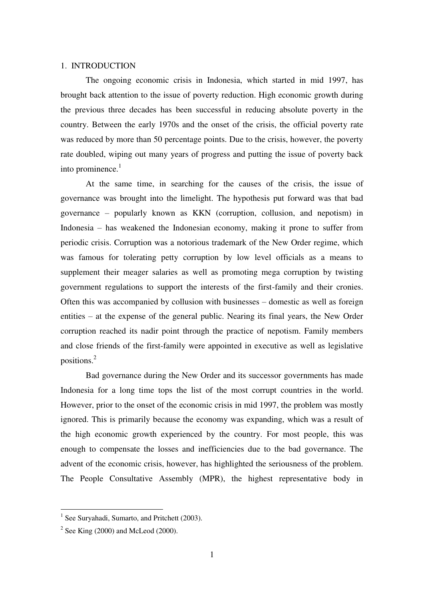#### 1. INTRODUCTION

The ongoing economic crisis in Indonesia, which started in mid 1997, has brought back attention to the issue of poverty reduction. High economic growth during the previous three decades has been successful in reducing absolute poverty in the country. Between the early 1970s and the onset of the crisis, the official poverty rate was reduced by more than 50 percentage points. Due to the crisis, however, the poverty rate doubled, wiping out many years of progress and putting the issue of poverty back into prominence.<sup>1</sup>

At the same time, in searching for the causes of the crisis, the issue of governance was brought into the limelight. The hypothesis put forward was that bad governance – popularly known as KKN (corruption, collusion, and nepotism) in Indonesia – has weakened the Indonesian economy, making it prone to suffer from periodic crisis. Corruption was a notorious trademark of the New Order regime, which was famous for tolerating petty corruption by low level officials as a means to supplement their meager salaries as well as promoting mega corruption by twisting government regulations to support the interests of the first-family and their cronies. Often this was accompanied by collusion with businesses – domestic as well as foreign entities – at the expense of the general public. Nearing its final years, the New Order corruption reached its nadir point through the practice of nepotism. Family members and close friends of the first-family were appointed in executive as well as legislative positions.<sup>2</sup>

Bad governance during the New Order and its successor governments has made Indonesia for a long time tops the list of the most corrupt countries in the world. However, prior to the onset of the economic crisis in mid 1997, the problem was mostly ignored. This is primarily because the economy was expanding, which was a result of the high economic growth experienced by the country. For most people, this was enough to compensate the losses and inefficiencies due to the bad governance. The advent of the economic crisis, however, has highlighted the seriousness of the problem. The People Consultative Assembly (MPR), the highest representative body in

 1 See Suryahadi, Sumarto, and Pritchett (2003).

 $2$  See King (2000) and McLeod (2000).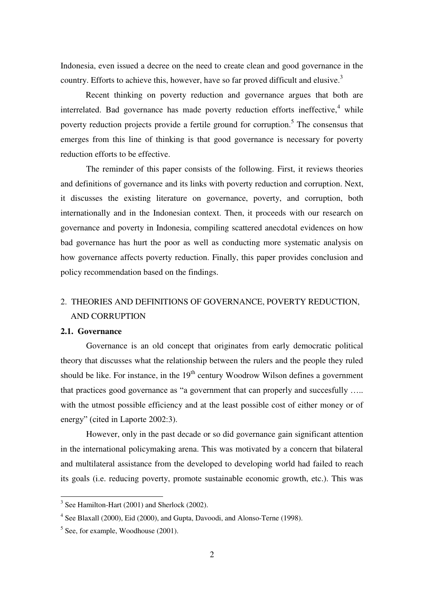Indonesia, even issued a decree on the need to create clean and good governance in the country. Efforts to achieve this, however, have so far proved difficult and elusive.<sup>3</sup>

Recent thinking on poverty reduction and governance argues that both are interrelated. Bad governance has made poverty reduction efforts ineffective, $4$  while poverty reduction projects provide a fertile ground for corruption.<sup>5</sup> The consensus that emerges from this line of thinking is that good governance is necessary for poverty reduction efforts to be effective.

 The reminder of this paper consists of the following. First, it reviews theories and definitions of governance and its links with poverty reduction and corruption. Next, it discusses the existing literature on governance, poverty, and corruption, both internationally and in the Indonesian context. Then, it proceeds with our research on governance and poverty in Indonesia, compiling scattered anecdotal evidences on how bad governance has hurt the poor as well as conducting more systematic analysis on how governance affects poverty reduction. Finally, this paper provides conclusion and policy recommendation based on the findings.

# 2. THEORIES AND DEFINITIONS OF GOVERNANCE, POVERTY REDUCTION, AND CORRUPTION

## **2.1. Governance**

Governance is an old concept that originates from early democratic political theory that discusses what the relationship between the rulers and the people they ruled should be like. For instance, in the  $19<sup>th</sup>$  century Woodrow Wilson defines a government that practices good governance as "a government that can properly and succesfully ….. with the utmost possible efficiency and at the least possible cost of either money or of energy" (cited in Laporte 2002:3).

However, only in the past decade or so did governance gain significant attention in the international policymaking arena. This was motivated by a concern that bilateral and multilateral assistance from the developed to developing world had failed to reach its goals (i.e. reducing poverty, promote sustainable economic growth, etc.). This was

<sup>&</sup>lt;sup>3</sup> See Hamilton-Hart (2001) and Sherlock (2002).

<sup>&</sup>lt;sup>4</sup> See Blaxall (2000), Eid (2000), and Gupta, Davoodi, and Alonso-Terne (1998).

<sup>&</sup>lt;sup>5</sup> See, for example, Woodhouse (2001).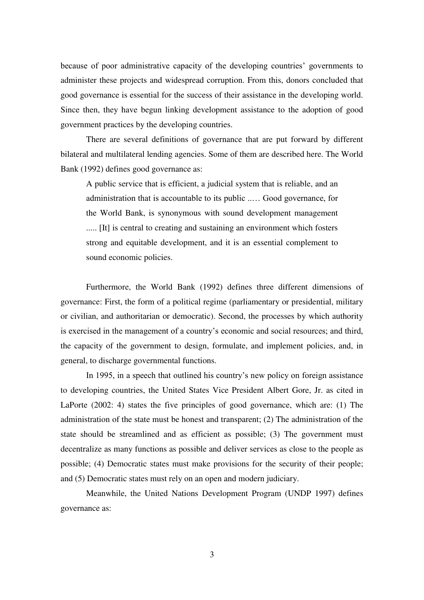because of poor administrative capacity of the developing countries' governments to administer these projects and widespread corruption. From this, donors concluded that good governance is essential for the success of their assistance in the developing world. Since then, they have begun linking development assistance to the adoption of good government practices by the developing countries.

There are several definitions of governance that are put forward by different bilateral and multilateral lending agencies. Some of them are described here. The World Bank (1992) defines good governance as:

A public service that is efficient, a judicial system that is reliable, and an administration that is accountable to its public ..… Good governance, for the World Bank, is synonymous with sound development management ..... [It] is central to creating and sustaining an environment which fosters strong and equitable development, and it is an essential complement to sound economic policies.

Furthermore, the World Bank (1992) defines three different dimensions of governance: First, the form of a political regime (parliamentary or presidential, military or civilian, and authoritarian or democratic). Second, the processes by which authority is exercised in the management of a country's economic and social resources; and third, the capacity of the government to design, formulate, and implement policies, and, in general, to discharge governmental functions.

In 1995, in a speech that outlined his country's new policy on foreign assistance to developing countries, the United States Vice President Albert Gore, Jr. as cited in LaPorte (2002: 4) states the five principles of good governance, which are: (1) The administration of the state must be honest and transparent; (2) The administration of the state should be streamlined and as efficient as possible; (3) The government must decentralize as many functions as possible and deliver services as close to the people as possible; (4) Democratic states must make provisions for the security of their people; and (5) Democratic states must rely on an open and modern judiciary.

Meanwhile, the United Nations Development Program (UNDP 1997) defines governance as: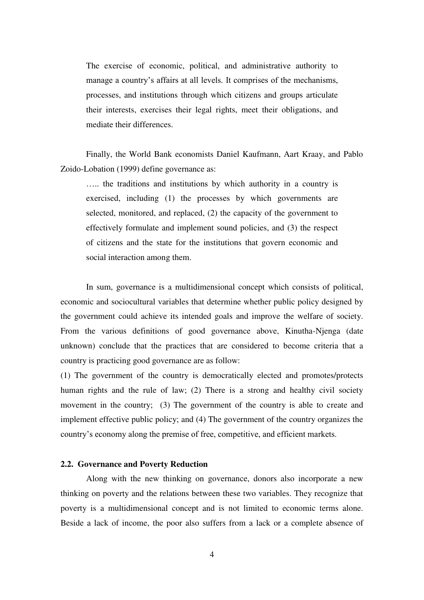The exercise of economic, political, and administrative authority to manage a country's affairs at all levels. It comprises of the mechanisms, processes, and institutions through which citizens and groups articulate their interests, exercises their legal rights, meet their obligations, and mediate their differences.

Finally, the World Bank economists Daniel Kaufmann, Aart Kraay, and Pablo Zoido-Lobation (1999) define governance as:

….. the traditions and institutions by which authority in a country is exercised, including (1) the processes by which governments are selected, monitored, and replaced, (2) the capacity of the government to effectively formulate and implement sound policies, and (3) the respect of citizens and the state for the institutions that govern economic and social interaction among them.

In sum, governance is a multidimensional concept which consists of political, economic and sociocultural variables that determine whether public policy designed by the government could achieve its intended goals and improve the welfare of society. From the various definitions of good governance above, Kinutha-Njenga (date unknown) conclude that the practices that are considered to become criteria that a country is practicing good governance are as follow:

(1) The government of the country is democratically elected and promotes/protects human rights and the rule of law; (2) There is a strong and healthy civil society movement in the country; (3) The government of the country is able to create and implement effective public policy; and (4) The government of the country organizes the country's economy along the premise of free, competitive, and efficient markets.

#### **2.2. Governance and Poverty Reduction**

Along with the new thinking on governance, donors also incorporate a new thinking on poverty and the relations between these two variables. They recognize that poverty is a multidimensional concept and is not limited to economic terms alone. Beside a lack of income, the poor also suffers from a lack or a complete absence of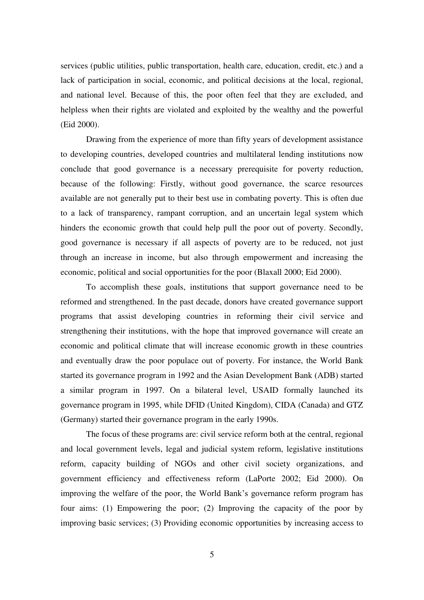services (public utilities, public transportation, health care, education, credit, etc.) and a lack of participation in social, economic, and political decisions at the local, regional, and national level. Because of this, the poor often feel that they are excluded, and helpless when their rights are violated and exploited by the wealthy and the powerful (Eid 2000).

Drawing from the experience of more than fifty years of development assistance to developing countries, developed countries and multilateral lending institutions now conclude that good governance is a necessary prerequisite for poverty reduction, because of the following: Firstly, without good governance, the scarce resources available are not generally put to their best use in combating poverty. This is often due to a lack of transparency, rampant corruption, and an uncertain legal system which hinders the economic growth that could help pull the poor out of poverty. Secondly, good governance is necessary if all aspects of poverty are to be reduced, not just through an increase in income, but also through empowerment and increasing the economic, political and social opportunities for the poor (Blaxall 2000; Eid 2000).

To accomplish these goals, institutions that support governance need to be reformed and strengthened. In the past decade, donors have created governance support programs that assist developing countries in reforming their civil service and strengthening their institutions, with the hope that improved governance will create an economic and political climate that will increase economic growth in these countries and eventually draw the poor populace out of poverty. For instance, the World Bank started its governance program in 1992 and the Asian Development Bank (ADB) started a similar program in 1997. On a bilateral level, USAID formally launched its governance program in 1995, while DFID (United Kingdom), CIDA (Canada) and GTZ (Germany) started their governance program in the early 1990s.

The focus of these programs are: civil service reform both at the central, regional and local government levels, legal and judicial system reform, legislative institutions reform, capacity building of NGOs and other civil society organizations, and government efficiency and effectiveness reform (LaPorte 2002; Eid 2000). On improving the welfare of the poor, the World Bank's governance reform program has four aims: (1) Empowering the poor; (2) Improving the capacity of the poor by improving basic services; (3) Providing economic opportunities by increasing access to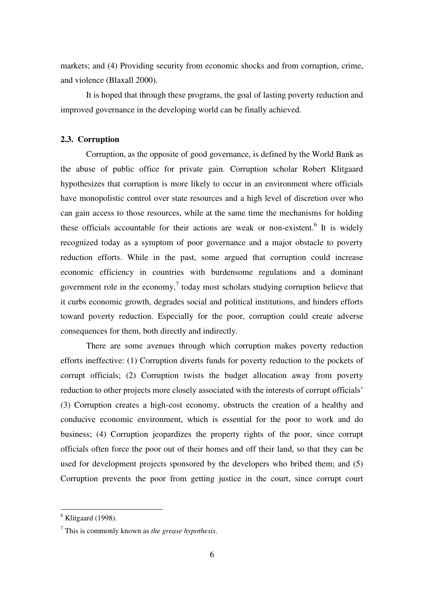markets; and (4) Providing security from economic shocks and from corruption, crime, and violence (Blaxall 2000).

It is hoped that through these programs, the goal of lasting poverty reduction and improved governance in the developing world can be finally achieved.

# **2.3. Corruption**

Corruption, as the opposite of good governance, is defined by the World Bank as the abuse of public office for private gain. Corruption scholar Robert Klitgaard hypothesizes that corruption is more likely to occur in an environment where officials have monopolistic control over state resources and a high level of discretion over who can gain access to those resources, while at the same time the mechanisms for holding these officials accountable for their actions are weak or non-existent.<sup>6</sup> It is widely recognized today as a symptom of poor governance and a major obstacle to poverty reduction efforts. While in the past, some argued that corruption could increase economic efficiency in countries with burdensome regulations and a dominant government role in the economy, $\frac{7}{1}$  today most scholars studying corruption believe that it curbs economic growth, degrades social and political institutions, and hinders efforts toward poverty reduction. Especially for the poor, corruption could create adverse consequences for them, both directly and indirectly.

There are some avenues through which corruption makes poverty reduction efforts ineffective: (1) Corruption diverts funds for poverty reduction to the pockets of corrupt officials; (2) Corruption twists the budget allocation away from poverty reduction to other projects more closely associated with the interests of corrupt officials' (3) Corruption creates a high-cost economy, obstructs the creation of a healthy and conducive economic environment, which is essential for the poor to work and do business; (4) Corruption jeopardizes the property rights of the poor, since corrupt officials often force the poor out of their homes and off their land, so that they can be used for development projects sponsored by the developers who bribed them; and (5) Corruption prevents the poor from getting justice in the court, since corrupt court

<sup>&</sup>lt;sup>6</sup> Klitgaard (1998).

<sup>7</sup> This is commonly known as *the grease hypothesis*.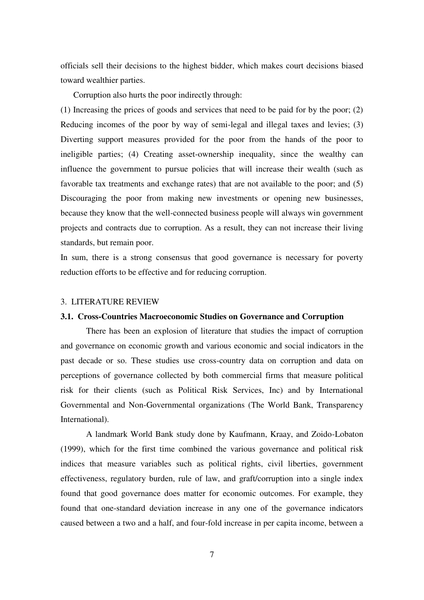officials sell their decisions to the highest bidder, which makes court decisions biased toward wealthier parties.

Corruption also hurts the poor indirectly through:

(1) Increasing the prices of goods and services that need to be paid for by the poor; (2) Reducing incomes of the poor by way of semi-legal and illegal taxes and levies; (3) Diverting support measures provided for the poor from the hands of the poor to ineligible parties; (4) Creating asset-ownership inequality, since the wealthy can influence the government to pursue policies that will increase their wealth (such as favorable tax treatments and exchange rates) that are not available to the poor; and (5) Discouraging the poor from making new investments or opening new businesses, because they know that the well-connected business people will always win government projects and contracts due to corruption. As a result, they can not increase their living standards, but remain poor.

In sum, there is a strong consensus that good governance is necessary for poverty reduction efforts to be effective and for reducing corruption.

## 3. LITERATURE REVIEW

# **3.1. Cross-Countries Macroeconomic Studies on Governance and Corruption**

There has been an explosion of literature that studies the impact of corruption and governance on economic growth and various economic and social indicators in the past decade or so. These studies use cross-country data on corruption and data on perceptions of governance collected by both commercial firms that measure political risk for their clients (such as Political Risk Services, Inc) and by International Governmental and Non-Governmental organizations (The World Bank, Transparency International).

A landmark World Bank study done by Kaufmann, Kraay, and Zoido-Lobaton (1999), which for the first time combined the various governance and political risk indices that measure variables such as political rights, civil liberties, government effectiveness, regulatory burden, rule of law, and graft/corruption into a single index found that good governance does matter for economic outcomes. For example, they found that one-standard deviation increase in any one of the governance indicators caused between a two and a half, and four-fold increase in per capita income, between a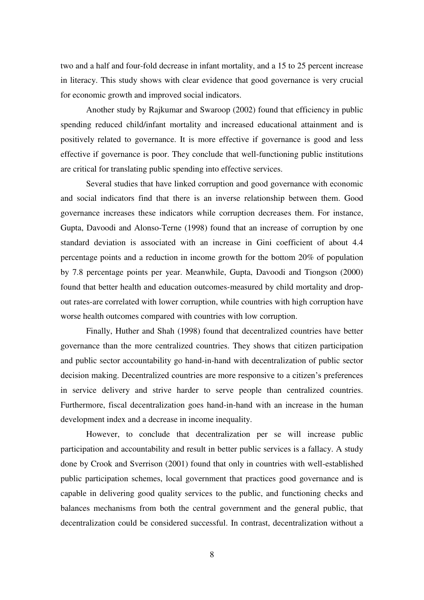two and a half and four-fold decrease in infant mortality, and a 15 to 25 percent increase in literacy. This study shows with clear evidence that good governance is very crucial for economic growth and improved social indicators.

Another study by Rajkumar and Swaroop (2002) found that efficiency in public spending reduced child/infant mortality and increased educational attainment and is positively related to governance. It is more effective if governance is good and less effective if governance is poor. They conclude that well-functioning public institutions are critical for translating public spending into effective services.

Several studies that have linked corruption and good governance with economic and social indicators find that there is an inverse relationship between them. Good governance increases these indicators while corruption decreases them. For instance, Gupta, Davoodi and Alonso-Terne (1998) found that an increase of corruption by one standard deviation is associated with an increase in Gini coefficient of about 4.4 percentage points and a reduction in income growth for the bottom 20% of population by 7.8 percentage points per year. Meanwhile, Gupta, Davoodi and Tiongson (2000) found that better health and education outcomes-measured by child mortality and dropout rates-are correlated with lower corruption, while countries with high corruption have worse health outcomes compared with countries with low corruption.

Finally, Huther and Shah (1998) found that decentralized countries have better governance than the more centralized countries. They shows that citizen participation and public sector accountability go hand-in-hand with decentralization of public sector decision making. Decentralized countries are more responsive to a citizen's preferences in service delivery and strive harder to serve people than centralized countries. Furthermore, fiscal decentralization goes hand-in-hand with an increase in the human development index and a decrease in income inequality.

However, to conclude that decentralization per se will increase public participation and accountability and result in better public services is a fallacy. A study done by Crook and Sverrison (2001) found that only in countries with well-established public participation schemes, local government that practices good governance and is capable in delivering good quality services to the public, and functioning checks and balances mechanisms from both the central government and the general public, that decentralization could be considered successful. In contrast, decentralization without a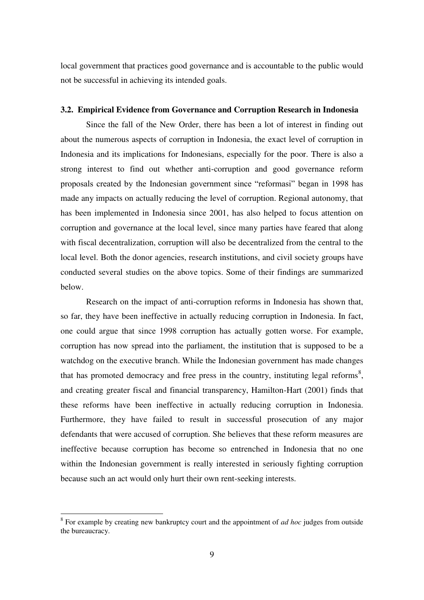local government that practices good governance and is accountable to the public would not be successful in achieving its intended goals.

#### **3.2. Empirical Evidence from Governance and Corruption Research in Indonesia**

Since the fall of the New Order, there has been a lot of interest in finding out about the numerous aspects of corruption in Indonesia, the exact level of corruption in Indonesia and its implications for Indonesians, especially for the poor. There is also a strong interest to find out whether anti-corruption and good governance reform proposals created by the Indonesian government since "reformasi" began in 1998 has made any impacts on actually reducing the level of corruption. Regional autonomy, that has been implemented in Indonesia since 2001, has also helped to focus attention on corruption and governance at the local level, since many parties have feared that along with fiscal decentralization, corruption will also be decentralized from the central to the local level. Both the donor agencies, research institutions, and civil society groups have conducted several studies on the above topics. Some of their findings are summarized below.

Research on the impact of anti-corruption reforms in Indonesia has shown that, so far, they have been ineffective in actually reducing corruption in Indonesia. In fact, one could argue that since 1998 corruption has actually gotten worse. For example, corruption has now spread into the parliament, the institution that is supposed to be a watchdog on the executive branch. While the Indonesian government has made changes that has promoted democracy and free press in the country, instituting legal reforms<sup>8</sup>, and creating greater fiscal and financial transparency, Hamilton-Hart (2001) finds that these reforms have been ineffective in actually reducing corruption in Indonesia. Furthermore, they have failed to result in successful prosecution of any major defendants that were accused of corruption. She believes that these reform measures are ineffective because corruption has become so entrenched in Indonesia that no one within the Indonesian government is really interested in seriously fighting corruption because such an act would only hurt their own rent-seeking interests.

-

<sup>8</sup> For example by creating new bankruptcy court and the appointment of *ad hoc* judges from outside the bureaucracy.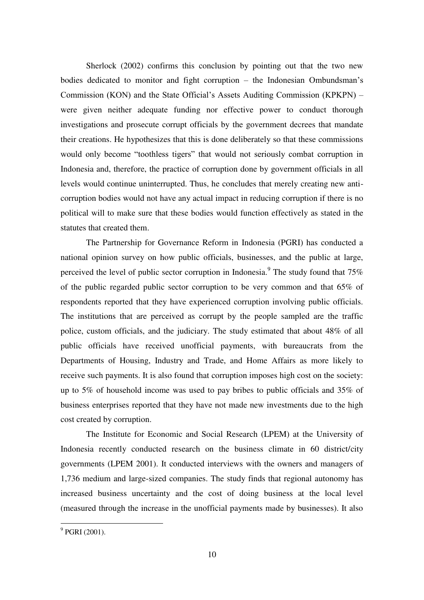Sherlock (2002) confirms this conclusion by pointing out that the two new bodies dedicated to monitor and fight corruption – the Indonesian Ombundsman's Commission (KON) and the State Official's Assets Auditing Commission (KPKPN) – were given neither adequate funding nor effective power to conduct thorough investigations and prosecute corrupt officials by the government decrees that mandate their creations. He hypothesizes that this is done deliberately so that these commissions would only become "toothless tigers" that would not seriously combat corruption in Indonesia and, therefore, the practice of corruption done by government officials in all levels would continue uninterrupted. Thus, he concludes that merely creating new anticorruption bodies would not have any actual impact in reducing corruption if there is no political will to make sure that these bodies would function effectively as stated in the statutes that created them.

The Partnership for Governance Reform in Indonesia (PGRI) has conducted a national opinion survey on how public officials, businesses, and the public at large, perceived the level of public sector corruption in Indonesia.<sup>9</sup> The study found that  $75\%$ of the public regarded public sector corruption to be very common and that 65% of respondents reported that they have experienced corruption involving public officials. The institutions that are perceived as corrupt by the people sampled are the traffic police, custom officials, and the judiciary. The study estimated that about 48% of all public officials have received unofficial payments, with bureaucrats from the Departments of Housing, Industry and Trade, and Home Affairs as more likely to receive such payments. It is also found that corruption imposes high cost on the society: up to 5% of household income was used to pay bribes to public officials and 35% of business enterprises reported that they have not made new investments due to the high cost created by corruption.

The Institute for Economic and Social Research (LPEM) at the University of Indonesia recently conducted research on the business climate in 60 district/city governments (LPEM 2001). It conducted interviews with the owners and managers of 1,736 medium and large-sized companies. The study finds that regional autonomy has increased business uncertainty and the cost of doing business at the local level (measured through the increase in the unofficial payments made by businesses). It also

<sup>&</sup>lt;sup>9</sup> PGRI (2001).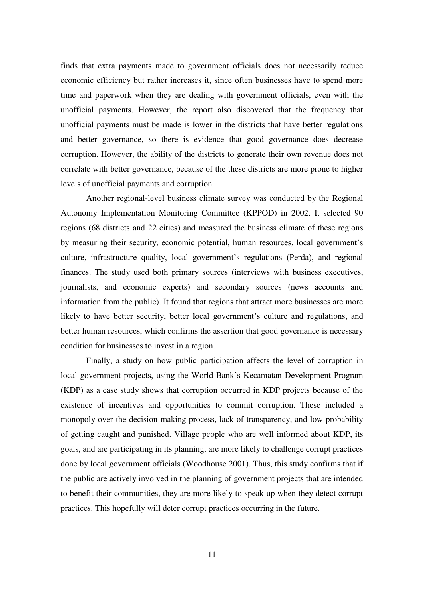finds that extra payments made to government officials does not necessarily reduce economic efficiency but rather increases it, since often businesses have to spend more time and paperwork when they are dealing with government officials, even with the unofficial payments. However, the report also discovered that the frequency that unofficial payments must be made is lower in the districts that have better regulations and better governance, so there is evidence that good governance does decrease corruption. However, the ability of the districts to generate their own revenue does not correlate with better governance, because of the these districts are more prone to higher levels of unofficial payments and corruption.

Another regional-level business climate survey was conducted by the Regional Autonomy Implementation Monitoring Committee (KPPOD) in 2002. It selected 90 regions (68 districts and 22 cities) and measured the business climate of these regions by measuring their security, economic potential, human resources, local government's culture, infrastructure quality, local government's regulations (Perda), and regional finances. The study used both primary sources (interviews with business executives, journalists, and economic experts) and secondary sources (news accounts and information from the public). It found that regions that attract more businesses are more likely to have better security, better local government's culture and regulations, and better human resources, which confirms the assertion that good governance is necessary condition for businesses to invest in a region.

 Finally, a study on how public participation affects the level of corruption in local government projects, using the World Bank's Kecamatan Development Program (KDP) as a case study shows that corruption occurred in KDP projects because of the existence of incentives and opportunities to commit corruption. These included a monopoly over the decision-making process, lack of transparency, and low probability of getting caught and punished. Village people who are well informed about KDP, its goals, and are participating in its planning, are more likely to challenge corrupt practices done by local government officials (Woodhouse 2001). Thus, this study confirms that if the public are actively involved in the planning of government projects that are intended to benefit their communities, they are more likely to speak up when they detect corrupt practices. This hopefully will deter corrupt practices occurring in the future.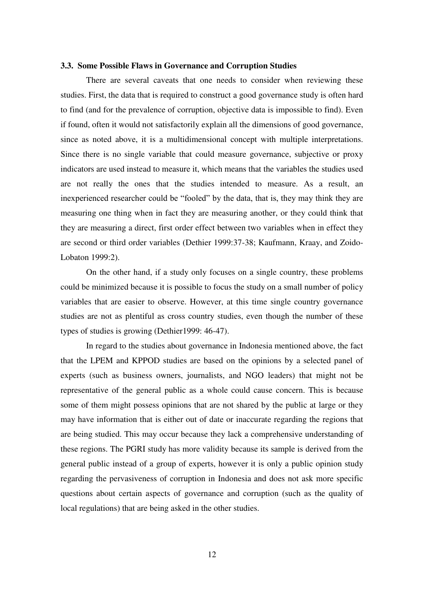#### **3.3. Some Possible Flaws in Governance and Corruption Studies**

There are several caveats that one needs to consider when reviewing these studies. First, the data that is required to construct a good governance study is often hard to find (and for the prevalence of corruption, objective data is impossible to find). Even if found, often it would not satisfactorily explain all the dimensions of good governance, since as noted above, it is a multidimensional concept with multiple interpretations. Since there is no single variable that could measure governance, subjective or proxy indicators are used instead to measure it, which means that the variables the studies used are not really the ones that the studies intended to measure. As a result, an inexperienced researcher could be "fooled" by the data, that is, they may think they are measuring one thing when in fact they are measuring another, or they could think that they are measuring a direct, first order effect between two variables when in effect they are second or third order variables (Dethier 1999:37-38; Kaufmann, Kraay, and Zoido-Lobaton 1999:2).

On the other hand, if a study only focuses on a single country, these problems could be minimized because it is possible to focus the study on a small number of policy variables that are easier to observe. However, at this time single country governance studies are not as plentiful as cross country studies, even though the number of these types of studies is growing (Dethier1999: 46-47).

In regard to the studies about governance in Indonesia mentioned above, the fact that the LPEM and KPPOD studies are based on the opinions by a selected panel of experts (such as business owners, journalists, and NGO leaders) that might not be representative of the general public as a whole could cause concern. This is because some of them might possess opinions that are not shared by the public at large or they may have information that is either out of date or inaccurate regarding the regions that are being studied. This may occur because they lack a comprehensive understanding of these regions. The PGRI study has more validity because its sample is derived from the general public instead of a group of experts, however it is only a public opinion study regarding the pervasiveness of corruption in Indonesia and does not ask more specific questions about certain aspects of governance and corruption (such as the quality of local regulations) that are being asked in the other studies.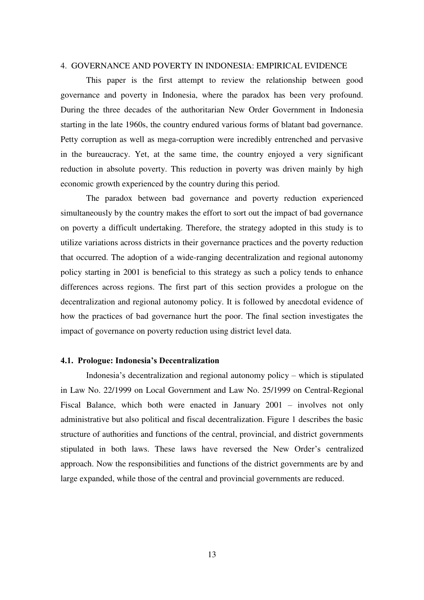#### 4. GOVERNANCE AND POVERTY IN INDONESIA: EMPIRICAL EVIDENCE

This paper is the first attempt to review the relationship between good governance and poverty in Indonesia, where the paradox has been very profound. During the three decades of the authoritarian New Order Government in Indonesia starting in the late 1960s, the country endured various forms of blatant bad governance. Petty corruption as well as mega-corruption were incredibly entrenched and pervasive in the bureaucracy. Yet, at the same time, the country enjoyed a very significant reduction in absolute poverty. This reduction in poverty was driven mainly by high economic growth experienced by the country during this period.

The paradox between bad governance and poverty reduction experienced simultaneously by the country makes the effort to sort out the impact of bad governance on poverty a difficult undertaking. Therefore, the strategy adopted in this study is to utilize variations across districts in their governance practices and the poverty reduction that occurred. The adoption of a wide-ranging decentralization and regional autonomy policy starting in 2001 is beneficial to this strategy as such a policy tends to enhance differences across regions. The first part of this section provides a prologue on the decentralization and regional autonomy policy. It is followed by anecdotal evidence of how the practices of bad governance hurt the poor. The final section investigates the impact of governance on poverty reduction using district level data.

#### **4.1. Prologue: Indonesia's Decentralization**

Indonesia's decentralization and regional autonomy policy – which is stipulated in Law No. 22/1999 on Local Government and Law No. 25/1999 on Central-Regional Fiscal Balance, which both were enacted in January 2001 – involves not only administrative but also political and fiscal decentralization. Figure 1 describes the basic structure of authorities and functions of the central, provincial, and district governments stipulated in both laws. These laws have reversed the New Order's centralized approach. Now the responsibilities and functions of the district governments are by and large expanded, while those of the central and provincial governments are reduced.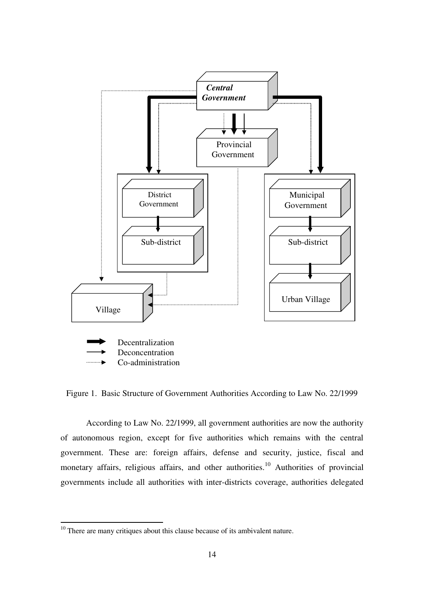

Figure 1. Basic Structure of Government Authorities According to Law No. 22/1999

According to Law No. 22/1999, all government authorities are now the authority of autonomous region, except for five authorities which remains with the central government. These are: foreign affairs, defense and security, justice, fiscal and monetary affairs, religious affairs, and other authorities.<sup>10</sup> Authorities of provincial governments include all authorities with inter-districts coverage, authorities delegated

-

<sup>&</sup>lt;sup>10</sup> There are many critiques about this clause because of its ambivalent nature.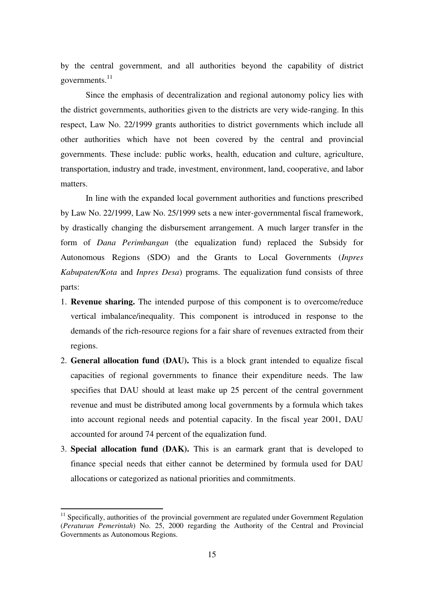by the central government, and all authorities beyond the capability of district governments.<sup>11</sup>

Since the emphasis of decentralization and regional autonomy policy lies with the district governments, authorities given to the districts are very wide-ranging. In this respect, Law No. 22/1999 grants authorities to district governments which include all other authorities which have not been covered by the central and provincial governments. These include: public works, health, education and culture, agriculture, transportation, industry and trade, investment, environment, land, cooperative, and labor matters.

In line with the expanded local government authorities and functions prescribed by Law No. 22/1999, Law No. 25/1999 sets a new inter-governmental fiscal framework, by drastically changing the disbursement arrangement. A much larger transfer in the form of *Dana Perimbangan* (the equalization fund) replaced the Subsidy for Autonomous Regions (SDO) and the Grants to Local Governments (*Inpres Kabupaten/Kota* and *Inpres Desa*) programs. The equalization fund consists of three parts:

- 1. **Revenue sharing.** The intended purpose of this component is to overcome/reduce vertical imbalance/inequality. This component is introduced in response to the demands of the rich-resource regions for a fair share of revenues extracted from their regions.
- 2. **General allocation fund (DAU).** This is a block grant intended to equalize fiscal capacities of regional governments to finance their expenditure needs. The law specifies that DAU should at least make up 25 percent of the central government revenue and must be distributed among local governments by a formula which takes into account regional needs and potential capacity. In the fiscal year 2001, DAU accounted for around 74 percent of the equalization fund.
- 3. **Special allocation fund (DAK).** This is an earmark grant that is developed to finance special needs that either cannot be determined by formula used for DAU allocations or categorized as national priorities and commitments.

<u>.</u>

 $11$  Specifically, authorities of the provincial government are regulated under Government Regulation (*Peraturan Pemerintah*) No. 25, 2000 regarding the Authority of the Central and Provincial Governments as Autonomous Regions.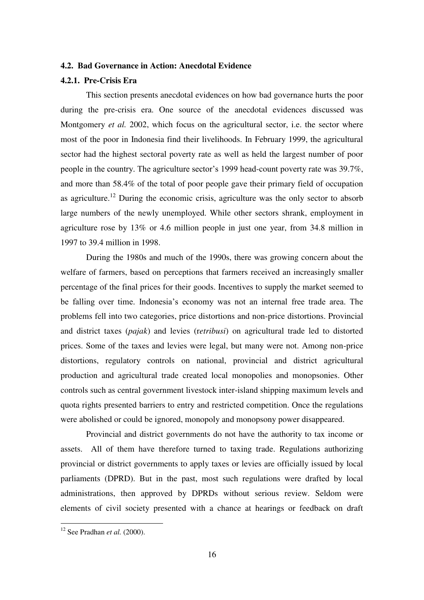#### **4.2. Bad Governance in Action: Anecdotal Evidence**

#### **4.2.1. Pre-Crisis Era**

This section presents anecdotal evidences on how bad governance hurts the poor during the pre-crisis era. One source of the anecdotal evidences discussed was Montgomery *et al.* 2002, which focus on the agricultural sector, i.e. the sector where most of the poor in Indonesia find their livelihoods. In February 1999, the agricultural sector had the highest sectoral poverty rate as well as held the largest number of poor people in the country. The agriculture sector's 1999 head-count poverty rate was 39.7%, and more than 58.4% of the total of poor people gave their primary field of occupation as agriculture.<sup>12</sup> During the economic crisis, agriculture was the only sector to absorb large numbers of the newly unemployed. While other sectors shrank, employment in agriculture rose by 13% or 4.6 million people in just one year, from 34.8 million in 1997 to 39.4 million in 1998.

During the 1980s and much of the 1990s, there was growing concern about the welfare of farmers, based on perceptions that farmers received an increasingly smaller percentage of the final prices for their goods. Incentives to supply the market seemed to be falling over time. Indonesia's economy was not an internal free trade area. The problems fell into two categories, price distortions and non-price distortions. Provincial and district taxes (*pajak*) and levies (r*etribusi*) on agricultural trade led to distorted prices. Some of the taxes and levies were legal, but many were not. Among non-price distortions, regulatory controls on national, provincial and district agricultural production and agricultural trade created local monopolies and monopsonies. Other controls such as central government livestock inter-island shipping maximum levels and quota rights presented barriers to entry and restricted competition. Once the regulations were abolished or could be ignored, monopoly and monopsony power disappeared.

Provincial and district governments do not have the authority to tax income or assets. All of them have therefore turned to taxing trade. Regulations authorizing provincial or district governments to apply taxes or levies are officially issued by local parliaments (DPRD). But in the past, most such regulations were drafted by local administrations, then approved by DPRDs without serious review. Seldom were elements of civil society presented with a chance at hearings or feedback on draft

 $\frac{1}{2}$ 

<sup>12</sup> See Pradhan *et al.* (2000).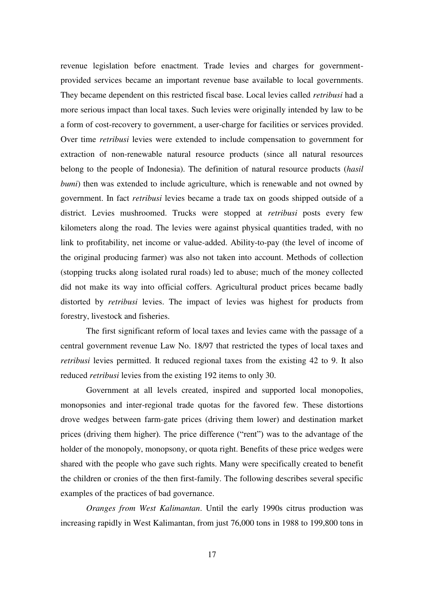revenue legislation before enactment. Trade levies and charges for governmentprovided services became an important revenue base available to local governments. They became dependent on this restricted fiscal base. Local levies called *retribusi* had a more serious impact than local taxes. Such levies were originally intended by law to be a form of cost-recovery to government, a user-charge for facilities or services provided. Over time *retribusi* levies were extended to include compensation to government for extraction of non-renewable natural resource products (since all natural resources belong to the people of Indonesia). The definition of natural resource products (*hasil bumi*) then was extended to include agriculture, which is renewable and not owned by government. In fact *retribusi* levies became a trade tax on goods shipped outside of a district. Levies mushroomed. Trucks were stopped at *retribusi* posts every few kilometers along the road. The levies were against physical quantities traded, with no link to profitability, net income or value-added. Ability-to-pay (the level of income of the original producing farmer) was also not taken into account. Methods of collection (stopping trucks along isolated rural roads) led to abuse; much of the money collected did not make its way into official coffers. Agricultural product prices became badly distorted by *retribusi* levies. The impact of levies was highest for products from forestry, livestock and fisheries.

The first significant reform of local taxes and levies came with the passage of a central government revenue Law No. 18/97 that restricted the types of local taxes and *retribusi* levies permitted. It reduced regional taxes from the existing 42 to 9. It also reduced *retribusi* levies from the existing 192 items to only 30.

Government at all levels created, inspired and supported local monopolies, monopsonies and inter-regional trade quotas for the favored few. These distortions drove wedges between farm-gate prices (driving them lower) and destination market prices (driving them higher). The price difference ("rent") was to the advantage of the holder of the monopoly, monopsony, or quota right. Benefits of these price wedges were shared with the people who gave such rights. Many were specifically created to benefit the children or cronies of the then first-family. The following describes several specific examples of the practices of bad governance.

*Oranges from West Kalimantan*. Until the early 1990s citrus production was increasing rapidly in West Kalimantan, from just 76,000 tons in 1988 to 199,800 tons in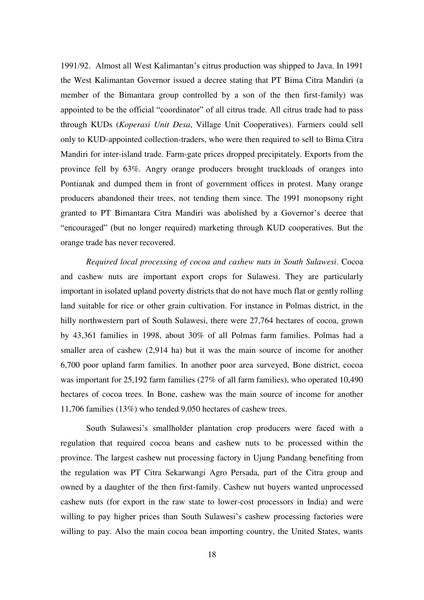1991/92. Almost all West Kalimantan's citrus production was shipped to Java. In 1991 the West Kalimantan Governor issued a decree stating that PT Bima Citra Mandiri (a member of the Bimantara group controlled by a son of the then first-family) was appointed to be the official "coordinator" of all citrus trade. All citrus trade had to pass through KUDs (*Koperasi Unit Desa*, Village Unit Cooperatives). Farmers could sell only to KUD-appointed collection-traders, who were then required to sell to Bima Citra Mandiri for inter-island trade. Farm-gate prices dropped precipitately. Exports from the province fell by 63%. Angry orange producers brought truckloads of oranges into Pontianak and dumped them in front of government offices in protest. Many orange producers abandoned their trees, not tending them since. The 1991 monopsony right granted to PT Bimantara Citra Mandiri was abolished by a Governor's decree that "encouraged" (but no longer required) marketing through KUD cooperatives. But the orange trade has never recovered.

*Required local processing of cocoa and cashew nuts in South Sulawesi*. Cocoa and cashew nuts are important export crops for Sulawesi. They are particularly important in isolated upland poverty districts that do not have much flat or gently rolling land suitable for rice or other grain cultivation. For instance in Polmas district, in the hilly northwestern part of South Sulawesi, there were 27,764 hectares of cocoa, grown by 43,361 families in 1998, about 30% of all Polmas farm families. Polmas had a smaller area of cashew (2,914 ha) but it was the main source of income for another 6,700 poor upland farm families. In another poor area surveyed, Bone district, cocoa was important for 25,192 farm families (27% of all farm families), who operated 10,490 hectares of cocoa trees. In Bone, cashew was the main source of income for another 11,706 families (13%) who tended 9,050 hectares of cashew trees.

South Sulawesi's smallholder plantation crop producers were faced with a regulation that required cocoa beans and cashew nuts to be processed within the province. The largest cashew nut processing factory in Ujung Pandang benefiting from the regulation was PT Citra Sekarwangi Agro Persada, part of the Citra group and owned by a daughter of the then first-family. Cashew nut buyers wanted unprocessed cashew nuts (for export in the raw state to lower-cost processors in India) and were willing to pay higher prices than South Sulawesi's cashew processing factories were willing to pay. Also the main cocoa bean importing country, the United States, wants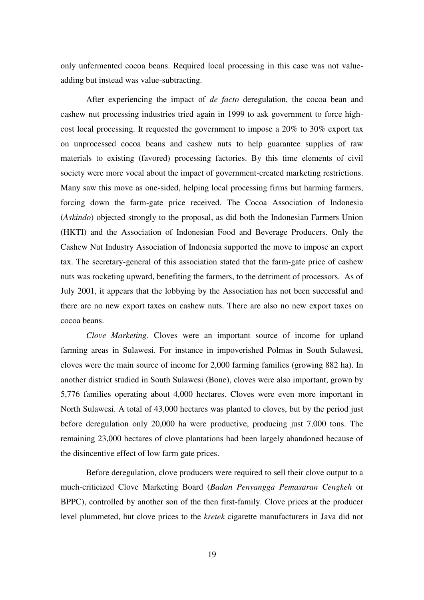only unfermented cocoa beans. Required local processing in this case was not valueadding but instead was value-subtracting.

After experiencing the impact of *de facto* deregulation, the cocoa bean and cashew nut processing industries tried again in 1999 to ask government to force highcost local processing. It requested the government to impose a 20% to 30% export tax on unprocessed cocoa beans and cashew nuts to help guarantee supplies of raw materials to existing (favored) processing factories. By this time elements of civil society were more vocal about the impact of government-created marketing restrictions. Many saw this move as one-sided, helping local processing firms but harming farmers, forcing down the farm-gate price received. The Cocoa Association of Indonesia (*Askindo*) objected strongly to the proposal, as did both the Indonesian Farmers Union (HKTI) and the Association of Indonesian Food and Beverage Producers. Only the Cashew Nut Industry Association of Indonesia supported the move to impose an export tax. The secretary-general of this association stated that the farm-gate price of cashew nuts was rocketing upward, benefiting the farmers, to the detriment of processors. As of July 2001, it appears that the lobbying by the Association has not been successful and there are no new export taxes on cashew nuts. There are also no new export taxes on cocoa beans.

*Clove Marketing*. Cloves were an important source of income for upland farming areas in Sulawesi. For instance in impoverished Polmas in South Sulawesi, cloves were the main source of income for 2,000 farming families (growing 882 ha). In another district studied in South Sulawesi (Bone), cloves were also important, grown by 5,776 families operating about 4,000 hectares. Cloves were even more important in North Sulawesi. A total of 43,000 hectares was planted to cloves, but by the period just before deregulation only 20,000 ha were productive, producing just 7,000 tons. The remaining 23,000 hectares of clove plantations had been largely abandoned because of the disincentive effect of low farm gate prices.

Before deregulation, clove producers were required to sell their clove output to a much-criticized Clove Marketing Board (*Badan Penyangga Pemasaran Cengkeh* or BPPC), controlled by another son of the then first-family. Clove prices at the producer level plummeted, but clove prices to the *kretek* cigarette manufacturers in Java did not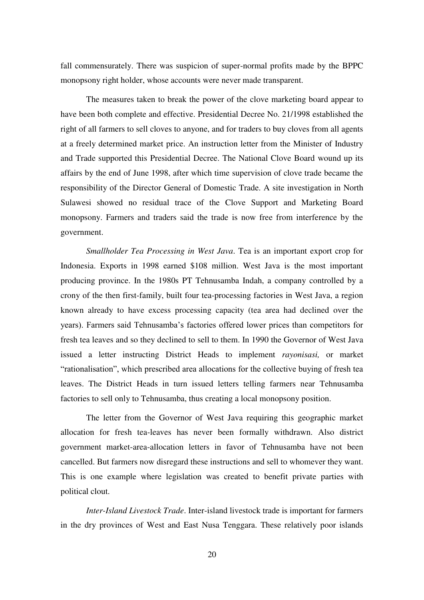fall commensurately. There was suspicion of super-normal profits made by the BPPC monopsony right holder, whose accounts were never made transparent.

The measures taken to break the power of the clove marketing board appear to have been both complete and effective. Presidential Decree No. 21/1998 established the right of all farmers to sell cloves to anyone, and for traders to buy cloves from all agents at a freely determined market price. An instruction letter from the Minister of Industry and Trade supported this Presidential Decree. The National Clove Board wound up its affairs by the end of June 1998, after which time supervision of clove trade became the responsibility of the Director General of Domestic Trade. A site investigation in North Sulawesi showed no residual trace of the Clove Support and Marketing Board monopsony. Farmers and traders said the trade is now free from interference by the government.

*Smallholder Tea Processing in West Java*. Tea is an important export crop for Indonesia. Exports in 1998 earned \$108 million. West Java is the most important producing province. In the 1980s PT Tehnusamba Indah, a company controlled by a crony of the then first-family, built four tea-processing factories in West Java, a region known already to have excess processing capacity (tea area had declined over the years). Farmers said Tehnusamba's factories offered lower prices than competitors for fresh tea leaves and so they declined to sell to them. In 1990 the Governor of West Java issued a letter instructing District Heads to implement *rayonisasi,* or market "rationalisation", which prescribed area allocations for the collective buying of fresh tea leaves. The District Heads in turn issued letters telling farmers near Tehnusamba factories to sell only to Tehnusamba, thus creating a local monopsony position.

The letter from the Governor of West Java requiring this geographic market allocation for fresh tea-leaves has never been formally withdrawn. Also district government market-area-allocation letters in favor of Tehnusamba have not been cancelled. But farmers now disregard these instructions and sell to whomever they want. This is one example where legislation was created to benefit private parties with political clout.

*Inter-Island Livestock Trade*. Inter-island livestock trade is important for farmers in the dry provinces of West and East Nusa Tenggara. These relatively poor islands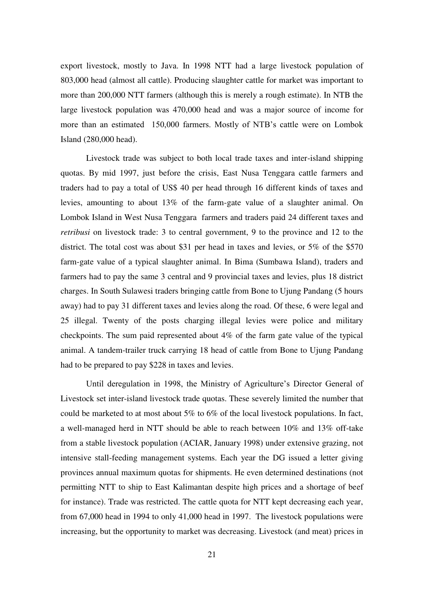export livestock, mostly to Java. In 1998 NTT had a large livestock population of 803,000 head (almost all cattle). Producing slaughter cattle for market was important to more than 200,000 NTT farmers (although this is merely a rough estimate). In NTB the large livestock population was 470,000 head and was a major source of income for more than an estimated 150,000 farmers. Mostly of NTB's cattle were on Lombok Island (280,000 head).

Livestock trade was subject to both local trade taxes and inter-island shipping quotas. By mid 1997, just before the crisis, East Nusa Tenggara cattle farmers and traders had to pay a total of US\$ 40 per head through 16 different kinds of taxes and levies, amounting to about 13% of the farm-gate value of a slaughter animal. On Lombok Island in West Nusa Tenggara farmers and traders paid 24 different taxes and *retribusi* on livestock trade: 3 to central government, 9 to the province and 12 to the district. The total cost was about \$31 per head in taxes and levies, or 5% of the \$570 farm-gate value of a typical slaughter animal. In Bima (Sumbawa Island), traders and farmers had to pay the same 3 central and 9 provincial taxes and levies, plus 18 district charges. In South Sulawesi traders bringing cattle from Bone to Ujung Pandang (5 hours away) had to pay 31 different taxes and levies along the road. Of these, 6 were legal and 25 illegal. Twenty of the posts charging illegal levies were police and military checkpoints. The sum paid represented about 4% of the farm gate value of the typical animal. A tandem-trailer truck carrying 18 head of cattle from Bone to Ujung Pandang had to be prepared to pay \$228 in taxes and levies.

Until deregulation in 1998, the Ministry of Agriculture's Director General of Livestock set inter-island livestock trade quotas. These severely limited the number that could be marketed to at most about 5% to 6% of the local livestock populations. In fact, a well-managed herd in NTT should be able to reach between 10% and 13% off-take from a stable livestock population (ACIAR, January 1998) under extensive grazing, not intensive stall-feeding management systems. Each year the DG issued a letter giving provinces annual maximum quotas for shipments. He even determined destinations (not permitting NTT to ship to East Kalimantan despite high prices and a shortage of beef for instance). Trade was restricted. The cattle quota for NTT kept decreasing each year, from 67,000 head in 1994 to only 41,000 head in 1997. The livestock populations were increasing, but the opportunity to market was decreasing. Livestock (and meat) prices in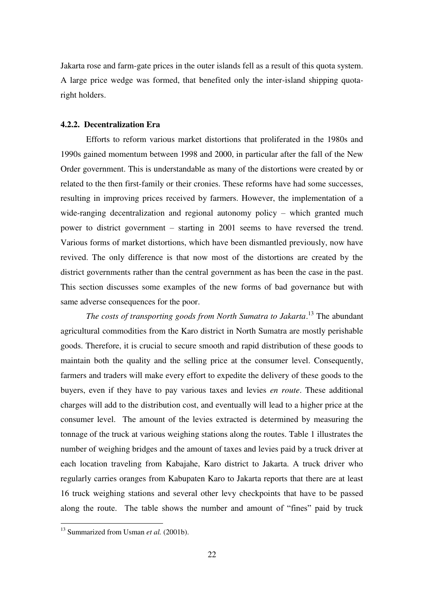Jakarta rose and farm-gate prices in the outer islands fell as a result of this quota system. A large price wedge was formed, that benefited only the inter-island shipping quotaright holders.

#### **4.2.2. Decentralization Era**

Efforts to reform various market distortions that proliferated in the 1980s and 1990s gained momentum between 1998 and 2000, in particular after the fall of the New Order government. This is understandable as many of the distortions were created by or related to the then first-family or their cronies. These reforms have had some successes, resulting in improving prices received by farmers. However, the implementation of a wide-ranging decentralization and regional autonomy policy – which granted much power to district government – starting in 2001 seems to have reversed the trend. Various forms of market distortions, which have been dismantled previously, now have revived. The only difference is that now most of the distortions are created by the district governments rather than the central government as has been the case in the past. This section discusses some examples of the new forms of bad governance but with same adverse consequences for the poor.

*The costs of transporting goods from North Sumatra to Jakarta*. <sup>13</sup> The abundant agricultural commodities from the Karo district in North Sumatra are mostly perishable goods. Therefore, it is crucial to secure smooth and rapid distribution of these goods to maintain both the quality and the selling price at the consumer level. Consequently, farmers and traders will make every effort to expedite the delivery of these goods to the buyers, even if they have to pay various taxes and levies *en route*. These additional charges will add to the distribution cost, and eventually will lead to a higher price at the consumer level. The amount of the levies extracted is determined by measuring the tonnage of the truck at various weighing stations along the routes. Table 1 illustrates the number of weighing bridges and the amount of taxes and levies paid by a truck driver at each location traveling from Kabajahe, Karo district to Jakarta. A truck driver who regularly carries oranges from Kabupaten Karo to Jakarta reports that there are at least 16 truck weighing stations and several other levy checkpoints that have to be passed along the route. The table shows the number and amount of "fines" paid by truck

 $\frac{1}{2}$ 

<sup>&</sup>lt;sup>13</sup> Summarized from Usman *et al.* (2001b).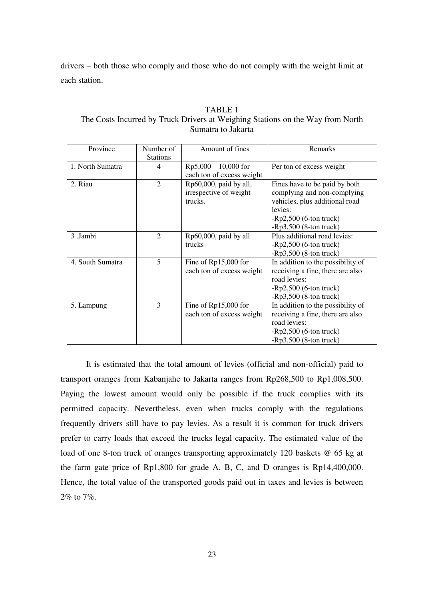drivers – both those who comply and those who do not comply with the weight limit at each station.

| Province         | Number of       | Amount of fines           | Remarks                           |  |
|------------------|-----------------|---------------------------|-----------------------------------|--|
|                  | <b>Stations</b> |                           |                                   |  |
| 1. North Sumatra | 4               | $Rp5,000 - 10,000$ for    | Per ton of excess weight          |  |
|                  |                 | each ton of excess weight |                                   |  |
| 2. Riau          | $\overline{2}$  | Rp60,000, paid by all,    | Fines have to be paid by both     |  |
|                  |                 | irrespective of weight    | complying and non-complying       |  |
|                  |                 | trucks.                   | vehicles, plus additional road    |  |
|                  |                 |                           | levies:                           |  |
|                  |                 |                           | $-Rp2,500$ (6-ton truck)          |  |
|                  |                 |                           | $-Rp3,500$ (8-ton truck)          |  |
| 3 .Jambi         | $\overline{2}$  | Rp60,000, paid by all     | Plus additional road levies:      |  |
|                  |                 | trucks                    | $-Rp2,500$ (6-ton truck)          |  |
|                  |                 |                           | $-Rp3,500$ (8-ton truck)          |  |
| 4. South Sumatra | 5               | Fine of $Rp15,000$ for    | In addition to the possibility of |  |
|                  |                 | each ton of excess weight | receiving a fine, there are also  |  |
|                  |                 |                           | road levies:                      |  |
|                  |                 |                           | $-Rp2,500$ (6-ton truck)          |  |
|                  |                 |                           | $-Rp3,500$ (8-ton truck)          |  |
| 5. Lampung       | 3               | Fine of $Rp15,000$ for    | In addition to the possibility of |  |
|                  |                 | each ton of excess weight | receiving a fine, there are also  |  |
|                  |                 |                           | road levies:                      |  |
|                  |                 |                           | $-Rp2,500$ (6-ton truck)          |  |
|                  |                 |                           | $-Rp3,500$ (8-ton truck)          |  |

# TABLE 1 The Costs Incurred by Truck Drivers at Weighing Stations on the Way from North Sumatra to Jakarta

It is estimated that the total amount of levies (official and non-official) paid to transport oranges from Kabanjahe to Jakarta ranges from Rp268,500 to Rp1,008,500. Paying the lowest amount would only be possible if the truck complies with its permitted capacity. Nevertheless, even when trucks comply with the regulations frequently drivers still have to pay levies. As a result it is common for truck drivers prefer to carry loads that exceed the trucks legal capacity. The estimated value of the load of one 8-ton truck of oranges transporting approximately 120 baskets @ 65 kg at the farm gate price of Rp1,800 for grade A, B, C, and D oranges is Rp14,400,000. Hence, the total value of the transported goods paid out in taxes and levies is between 2% to 7%.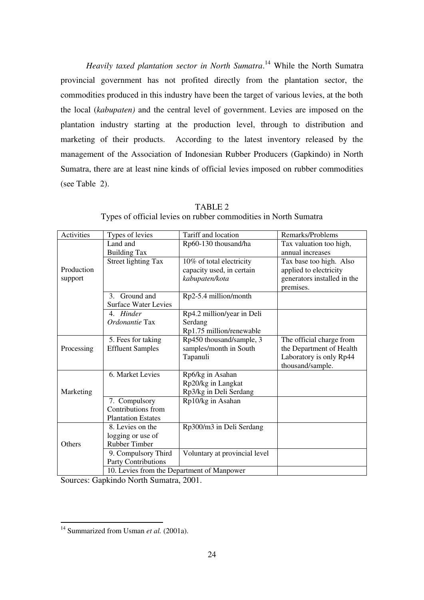*Heavily taxed plantation sector in North Sumatra*. <sup>14</sup> While the North Sumatra provincial government has not profited directly from the plantation sector, the commodities produced in this industry have been the target of various levies, at the both the local (*kabupaten)* and the central level of government. Levies are imposed on the plantation industry starting at the production level, through to distribution and marketing of their products. According to the latest inventory released by the management of the Association of Indonesian Rubber Producers (Gapkindo) in North Sumatra, there are at least nine kinds of official levies imposed on rubber commodities (see Table 2).

| <b>Activities</b> | Types of levies                            | Tariff and location           | Remarks/Problems            |
|-------------------|--------------------------------------------|-------------------------------|-----------------------------|
|                   | Land and                                   | Rp60-130 thousand/ha          | Tax valuation too high,     |
|                   | <b>Building Tax</b>                        |                               | annual increases            |
|                   | <b>Street lighting Tax</b>                 | 10% of total electricity      | Tax base too high. Also     |
| Production        |                                            | capacity used, in certain     | applied to electricity      |
| support           |                                            | kabupaten/kota                | generators installed in the |
|                   |                                            |                               | premises.                   |
|                   | Ground and<br>3.                           | Rp2-5.4 million/month         |                             |
|                   | <b>Surface Water Levies</b>                |                               |                             |
|                   | 4. Hinder                                  | Rp4.2 million/year in Deli    |                             |
|                   | Ordonantie Tax                             | Serdang                       |                             |
|                   |                                            | Rp1.75 million/renewable      |                             |
|                   | 5. Fees for taking                         | Rp450 thousand/sample, 3      | The official charge from    |
| Processing        | <b>Effluent Samples</b>                    | samples/month in South        | the Department of Health    |
|                   |                                            | Tapanuli                      | Laboratory is only Rp44     |
|                   |                                            |                               | thousand/sample.            |
|                   | 6. Market Levies                           | Rp6/kg in Asahan              |                             |
|                   |                                            | Rp20/kg in Langkat            |                             |
| Marketing         |                                            | Rp3/kg in Deli Serdang        |                             |
|                   | 7. Compulsory                              | Rp10/kg in Asahan             |                             |
|                   | Contributions from                         |                               |                             |
|                   | <b>Plantation Estates</b>                  |                               |                             |
|                   | 8. Levies on the                           | Rp300/m3 in Deli Serdang      |                             |
|                   | logging or use of                          |                               |                             |
| Others            | <b>Rubber Timber</b>                       |                               |                             |
|                   | 9. Compulsory Third                        | Voluntary at provincial level |                             |
|                   | Party Contributions                        |                               |                             |
|                   | 10. Levies from the Department of Manpower |                               |                             |

TABLE 2 Types of official levies on rubber commodities in North Sumatra

Sources: Gapkindo North Sumatra, 2001.

-

<sup>&</sup>lt;sup>14</sup> Summarized from Usman *et al.* (2001a).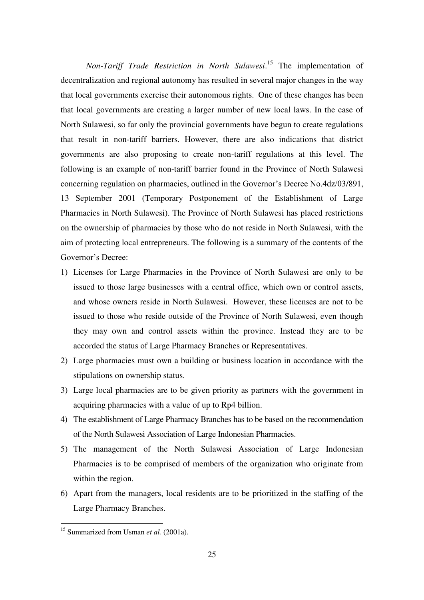*Non-Tariff Trade Restriction in North Sulawesi*. <sup>15</sup> The implementation of decentralization and regional autonomy has resulted in several major changes in the way that local governments exercise their autonomous rights. One of these changes has been that local governments are creating a larger number of new local laws. In the case of North Sulawesi, so far only the provincial governments have begun to create regulations that result in non-tariff barriers. However, there are also indications that district governments are also proposing to create non-tariff regulations at this level. The following is an example of non-tariff barrier found in the Province of North Sulawesi concerning regulation on pharmacies, outlined in the Governor's Decree No.4dz/03/891, 13 September 2001 (Temporary Postponement of the Establishment of Large Pharmacies in North Sulawesi). The Province of North Sulawesi has placed restrictions on the ownership of pharmacies by those who do not reside in North Sulawesi, with the aim of protecting local entrepreneurs. The following is a summary of the contents of the Governor's Decree:

- 1) Licenses for Large Pharmacies in the Province of North Sulawesi are only to be issued to those large businesses with a central office, which own or control assets, and whose owners reside in North Sulawesi. However, these licenses are not to be issued to those who reside outside of the Province of North Sulawesi, even though they may own and control assets within the province. Instead they are to be accorded the status of Large Pharmacy Branches or Representatives.
- 2) Large pharmacies must own a building or business location in accordance with the stipulations on ownership status.
- 3) Large local pharmacies are to be given priority as partners with the government in acquiring pharmacies with a value of up to Rp4 billion.
- 4) The establishment of Large Pharmacy Branches has to be based on the recommendation of the North Sulawesi Association of Large Indonesian Pharmacies.
- 5) The management of the North Sulawesi Association of Large Indonesian Pharmacies is to be comprised of members of the organization who originate from within the region.
- 6) Apart from the managers, local residents are to be prioritized in the staffing of the Large Pharmacy Branches.

 $\frac{1}{2}$ 

<sup>&</sup>lt;sup>15</sup> Summarized from Usman *et al.* (2001a).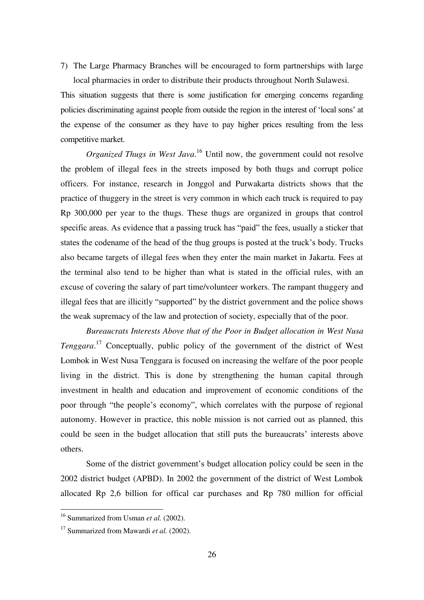7) The Large Pharmacy Branches will be encouraged to form partnerships with large local pharmacies in order to distribute their products throughout North Sulawesi.

This situation suggests that there is some justification for emerging concerns regarding policies discriminating against people from outside the region in the interest of 'local sons' at the expense of the consumer as they have to pay higher prices resulting from the less competitive market.

*Organized Thugs in West Java*.<sup>16</sup> Until now, the government could not resolve the problem of illegal fees in the streets imposed by both thugs and corrupt police officers. For instance, research in Jonggol and Purwakarta districts shows that the practice of thuggery in the street is very common in which each truck is required to pay Rp 300,000 per year to the thugs. These thugs are organized in groups that control specific areas. As evidence that a passing truck has "paid" the fees, usually a sticker that states the codename of the head of the thug groups is posted at the truck's body. Trucks also became targets of illegal fees when they enter the main market in Jakarta. Fees at the terminal also tend to be higher than what is stated in the official rules, with an excuse of covering the salary of part time/volunteer workers. The rampant thuggery and illegal fees that are illicitly "supported" by the district government and the police shows the weak supremacy of the law and protection of society, especially that of the poor.

*Bureaucrats Interests Above that of the Poor in Budget allocation in West Nusa Tenggara*. <sup>17</sup> Conceptually, public policy of the government of the district of West Lombok in West Nusa Tenggara is focused on increasing the welfare of the poor people living in the district. This is done by strengthening the human capital through investment in health and education and improvement of economic conditions of the poor through "the people's economy", which correlates with the purpose of regional autonomy. However in practice, this noble mission is not carried out as planned, this could be seen in the budget allocation that still puts the bureaucrats' interests above others.

Some of the district government's budget allocation policy could be seen in the 2002 district budget (APBD). In 2002 the government of the district of West Lombok allocated Rp 2,6 billion for offical car purchases and Rp 780 million for official

-

<sup>16</sup> Summarized from Usman *et al.* (2002).

<sup>&</sup>lt;sup>17</sup> Summarized from Mawardi *et al.* (2002).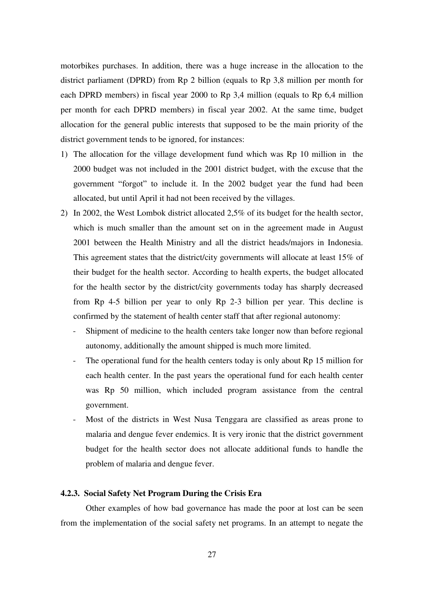motorbikes purchases. In addition, there was a huge increase in the allocation to the district parliament (DPRD) from Rp 2 billion (equals to Rp 3,8 million per month for each DPRD members) in fiscal year 2000 to Rp 3,4 million (equals to Rp 6,4 million per month for each DPRD members) in fiscal year 2002. At the same time, budget allocation for the general public interests that supposed to be the main priority of the district government tends to be ignored, for instances:

- 1) The allocation for the village development fund which was Rp 10 million in the 2000 budget was not included in the 2001 district budget, with the excuse that the government "forgot" to include it. In the 2002 budget year the fund had been allocated, but until April it had not been received by the villages.
- 2) In 2002, the West Lombok district allocated 2,5% of its budget for the health sector, which is much smaller than the amount set on in the agreement made in August 2001 between the Health Ministry and all the district heads/majors in Indonesia. This agreement states that the district/city governments will allocate at least 15% of their budget for the health sector. According to health experts, the budget allocated for the health sector by the district/city governments today has sharply decreased from Rp 4-5 billion per year to only Rp 2-3 billion per year. This decline is confirmed by the statement of health center staff that after regional autonomy:
	- Shipment of medicine to the health centers take longer now than before regional autonomy, additionally the amount shipped is much more limited.
	- The operational fund for the health centers today is only about Rp 15 million for each health center. In the past years the operational fund for each health center was Rp 50 million, which included program assistance from the central government.
	- Most of the districts in West Nusa Tenggara are classified as areas prone to malaria and dengue fever endemics. It is very ironic that the district government budget for the health sector does not allocate additional funds to handle the problem of malaria and dengue fever.

#### **4.2.3. Social Safety Net Program During the Crisis Era**

Other examples of how bad governance has made the poor at lost can be seen from the implementation of the social safety net programs. In an attempt to negate the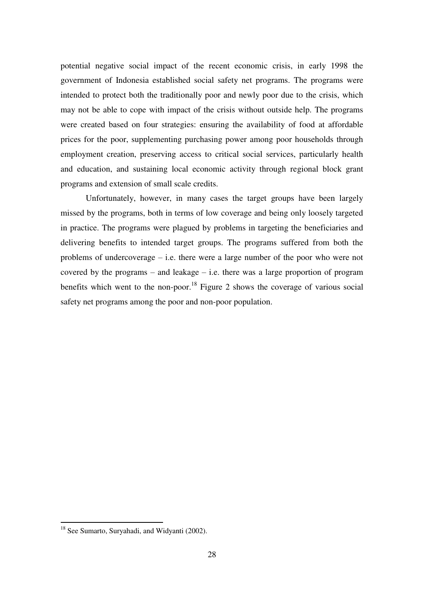potential negative social impact of the recent economic crisis, in early 1998 the government of Indonesia established social safety net programs. The programs were intended to protect both the traditionally poor and newly poor due to the crisis, which may not be able to cope with impact of the crisis without outside help. The programs were created based on four strategies: ensuring the availability of food at affordable prices for the poor, supplementing purchasing power among poor households through employment creation, preserving access to critical social services, particularly health and education, and sustaining local economic activity through regional block grant programs and extension of small scale credits.

Unfortunately, however, in many cases the target groups have been largely missed by the programs, both in terms of low coverage and being only loosely targeted in practice. The programs were plagued by problems in targeting the beneficiaries and delivering benefits to intended target groups. The programs suffered from both the problems of undercoverage – i.e. there were a large number of the poor who were not covered by the programs – and leakage – i.e. there was a large proportion of program benefits which went to the non-poor.<sup>18</sup> Figure 2 shows the coverage of various social safety net programs among the poor and non-poor population.

-

<sup>&</sup>lt;sup>18</sup> See Sumarto, Suryahadi, and Widyanti (2002).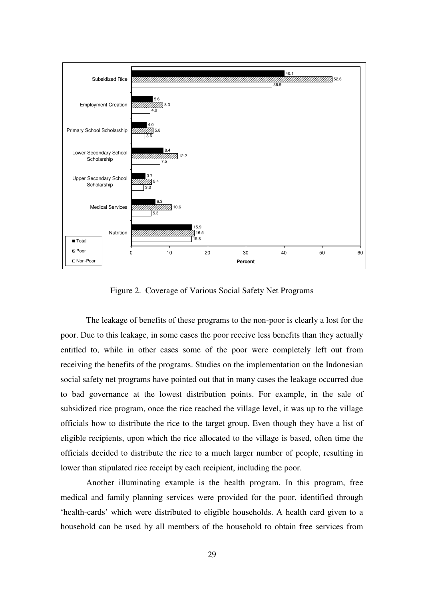

Figure 2. Coverage of Various Social Safety Net Programs

The leakage of benefits of these programs to the non-poor is clearly a lost for the poor. Due to this leakage, in some cases the poor receive less benefits than they actually entitled to, while in other cases some of the poor were completely left out from receiving the benefits of the programs. Studies on the implementation on the Indonesian social safety net programs have pointed out that in many cases the leakage occurred due to bad governance at the lowest distribution points. For example, in the sale of subsidized rice program, once the rice reached the village level, it was up to the village officials how to distribute the rice to the target group. Even though they have a list of eligible recipients, upon which the rice allocated to the village is based, often time the officials decided to distribute the rice to a much larger number of people, resulting in lower than stipulated rice receipt by each recipient, including the poor.

Another illuminating example is the health program. In this program, free medical and family planning services were provided for the poor, identified through 'health-cards' which were distributed to eligible households. A health card given to a household can be used by all members of the household to obtain free services from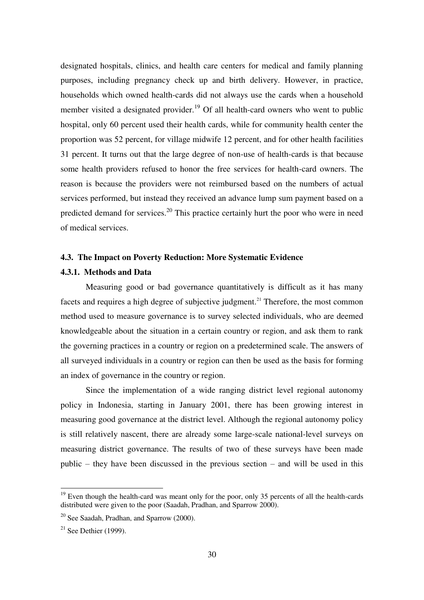designated hospitals, clinics, and health care centers for medical and family planning purposes, including pregnancy check up and birth delivery. However, in practice, households which owned health-cards did not always use the cards when a household member visited a designated provider.<sup>19</sup> Of all health-card owners who went to public hospital, only 60 percent used their health cards, while for community health center the proportion was 52 percent, for village midwife 12 percent, and for other health facilities 31 percent. It turns out that the large degree of non-use of health-cards is that because some health providers refused to honor the free services for health-card owners. The reason is because the providers were not reimbursed based on the numbers of actual services performed, but instead they received an advance lump sum payment based on a predicted demand for services.<sup>20</sup> This practice certainly hurt the poor who were in need of medical services.

## **4.3. The Impact on Poverty Reduction: More Systematic Evidence**

#### **4.3.1. Methods and Data**

Measuring good or bad governance quantitatively is difficult as it has many facets and requires a high degree of subjective judgment.<sup>21</sup> Therefore, the most common method used to measure governance is to survey selected individuals, who are deemed knowledgeable about the situation in a certain country or region, and ask them to rank the governing practices in a country or region on a predetermined scale. The answers of all surveyed individuals in a country or region can then be used as the basis for forming an index of governance in the country or region.

Since the implementation of a wide ranging district level regional autonomy policy in Indonesia, starting in January 2001, there has been growing interest in measuring good governance at the district level. Although the regional autonomy policy is still relatively nascent, there are already some large-scale national-level surveys on measuring district governance. The results of two of these surveys have been made public – they have been discussed in the previous section – and will be used in this

 $\frac{1}{2}$ 

 $19$  Even though the health-card was meant only for the poor, only 35 percents of all the health-cards distributed were given to the poor (Saadah, Pradhan, and Sparrow 2000).

 $20$  See Saadah, Pradhan, and Sparrow (2000).

 $21$  See Dethier (1999).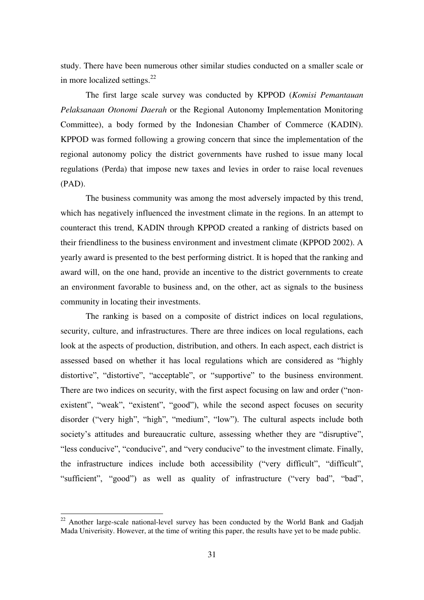study. There have been numerous other similar studies conducted on a smaller scale or in more localized settings.<sup>22</sup>

The first large scale survey was conducted by KPPOD (*Komisi Pemantauan Pelaksanaan Otonomi Daerah* or the Regional Autonomy Implementation Monitoring Committee), a body formed by the Indonesian Chamber of Commerce (KADIN). KPPOD was formed following a growing concern that since the implementation of the regional autonomy policy the district governments have rushed to issue many local regulations (Perda) that impose new taxes and levies in order to raise local revenues (PAD).

The business community was among the most adversely impacted by this trend, which has negatively influenced the investment climate in the regions. In an attempt to counteract this trend, KADIN through KPPOD created a ranking of districts based on their friendliness to the business environment and investment climate (KPPOD 2002). A yearly award is presented to the best performing district. It is hoped that the ranking and award will, on the one hand, provide an incentive to the district governments to create an environment favorable to business and, on the other, act as signals to the business community in locating their investments.

The ranking is based on a composite of district indices on local regulations, security, culture, and infrastructures. There are three indices on local regulations, each look at the aspects of production, distribution, and others. In each aspect, each district is assessed based on whether it has local regulations which are considered as "highly distortive", "distortive", "acceptable", or "supportive" to the business environment. There are two indices on security, with the first aspect focusing on law and order ("nonexistent", "weak", "existent", "good"), while the second aspect focuses on security disorder ("very high", "high", "medium", "low"). The cultural aspects include both society's attitudes and bureaucratic culture, assessing whether they are "disruptive", "less conducive", "conducive", and "very conducive" to the investment climate. Finally, the infrastructure indices include both accessibility ("very difficult", "difficult", "sufficient", "good") as well as quality of infrastructure ("very bad", "bad",

-

 $22$  Another large-scale national-level survey has been conducted by the World Bank and Gadjah Mada Univerisity. However, at the time of writing this paper, the results have yet to be made public.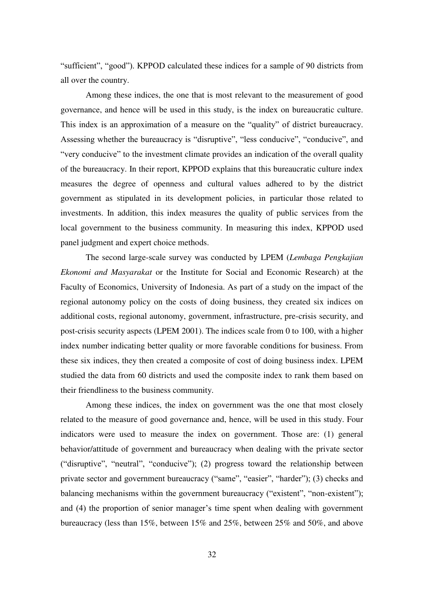"sufficient", "good"). KPPOD calculated these indices for a sample of 90 districts from all over the country.

Among these indices, the one that is most relevant to the measurement of good governance, and hence will be used in this study, is the index on bureaucratic culture. This index is an approximation of a measure on the "quality" of district bureaucracy. Assessing whether the bureaucracy is "disruptive", "less conducive", "conducive", and "very conducive" to the investment climate provides an indication of the overall quality of the bureaucracy. In their report, KPPOD explains that this bureaucratic culture index measures the degree of openness and cultural values adhered to by the district government as stipulated in its development policies, in particular those related to investments. In addition, this index measures the quality of public services from the local government to the business community. In measuring this index, KPPOD used panel judgment and expert choice methods.

The second large-scale survey was conducted by LPEM (*Lembaga Pengkajian Ekonomi and Masyarakat* or the Institute for Social and Economic Research) at the Faculty of Economics, University of Indonesia. As part of a study on the impact of the regional autonomy policy on the costs of doing business, they created six indices on additional costs, regional autonomy, government, infrastructure, pre-crisis security, and post-crisis security aspects (LPEM 2001). The indices scale from 0 to 100, with a higher index number indicating better quality or more favorable conditions for business. From these six indices, they then created a composite of cost of doing business index. LPEM studied the data from 60 districts and used the composite index to rank them based on their friendliness to the business community.

Among these indices, the index on government was the one that most closely related to the measure of good governance and, hence, will be used in this study. Four indicators were used to measure the index on government. Those are: (1) general behavior/attitude of government and bureaucracy when dealing with the private sector ("disruptive", "neutral", "conducive"); (2) progress toward the relationship between private sector and government bureaucracy ("same", "easier", "harder"); (3) checks and balancing mechanisms within the government bureaucracy ("existent", "non-existent"); and (4) the proportion of senior manager's time spent when dealing with government bureaucracy (less than 15%, between 15% and 25%, between 25% and 50%, and above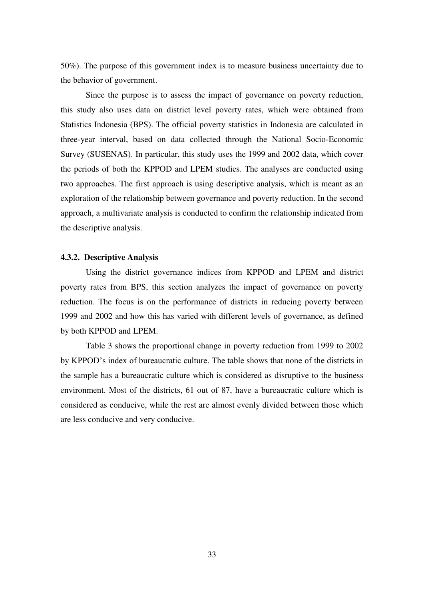50%). The purpose of this government index is to measure business uncertainty due to the behavior of government.

Since the purpose is to assess the impact of governance on poverty reduction, this study also uses data on district level poverty rates, which were obtained from Statistics Indonesia (BPS). The official poverty statistics in Indonesia are calculated in three-year interval, based on data collected through the National Socio-Economic Survey (SUSENAS). In particular, this study uses the 1999 and 2002 data, which cover the periods of both the KPPOD and LPEM studies. The analyses are conducted using two approaches. The first approach is using descriptive analysis, which is meant as an exploration of the relationship between governance and poverty reduction. In the second approach, a multivariate analysis is conducted to confirm the relationship indicated from the descriptive analysis.

#### **4.3.2. Descriptive Analysis**

Using the district governance indices from KPPOD and LPEM and district poverty rates from BPS, this section analyzes the impact of governance on poverty reduction. The focus is on the performance of districts in reducing poverty between 1999 and 2002 and how this has varied with different levels of governance, as defined by both KPPOD and LPEM.

Table 3 shows the proportional change in poverty reduction from 1999 to 2002 by KPPOD's index of bureaucratic culture. The table shows that none of the districts in the sample has a bureaucratic culture which is considered as disruptive to the business environment. Most of the districts, 61 out of 87, have a bureaucratic culture which is considered as conducive, while the rest are almost evenly divided between those which are less conducive and very conducive.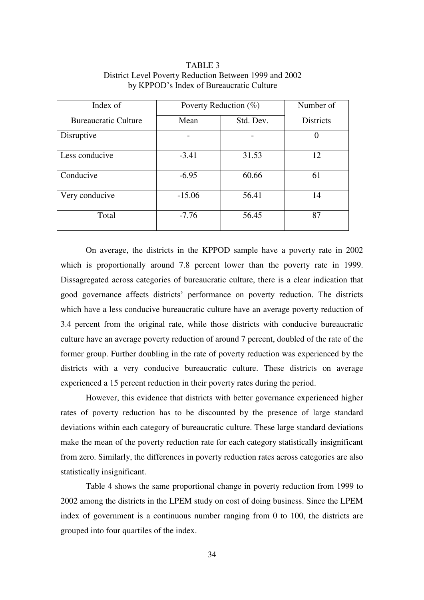| TABLE 3                                                |
|--------------------------------------------------------|
| District Level Poverty Reduction Between 1999 and 2002 |
| by KPPOD's Index of Bureaucratic Culture               |

| Index of                    | Poverty Reduction $(\%)$ |           | Number of        |
|-----------------------------|--------------------------|-----------|------------------|
| <b>Bureaucratic Culture</b> | Mean                     | Std. Dev. | <b>Districts</b> |
| Disruptive                  |                          |           | $\Omega$         |
| Less conducive              | $-3.41$                  | 31.53     | 12               |
| Conducive                   | $-6.95$                  | 60.66     | 61               |
| Very conducive              | $-15.06$                 | 56.41     | 14               |
| Total                       | $-7.76$                  | 56.45     | 87               |

On average, the districts in the KPPOD sample have a poverty rate in 2002 which is proportionally around 7.8 percent lower than the poverty rate in 1999. Dissagregated across categories of bureaucratic culture, there is a clear indication that good governance affects districts' performance on poverty reduction. The districts which have a less conducive bureaucratic culture have an average poverty reduction of 3.4 percent from the original rate, while those districts with conducive bureaucratic culture have an average poverty reduction of around 7 percent, doubled of the rate of the former group. Further doubling in the rate of poverty reduction was experienced by the districts with a very conducive bureaucratic culture. These districts on average experienced a 15 percent reduction in their poverty rates during the period.

However, this evidence that districts with better governance experienced higher rates of poverty reduction has to be discounted by the presence of large standard deviations within each category of bureaucratic culture. These large standard deviations make the mean of the poverty reduction rate for each category statistically insignificant from zero. Similarly, the differences in poverty reduction rates across categories are also statistically insignificant.

Table 4 shows the same proportional change in poverty reduction from 1999 to 2002 among the districts in the LPEM study on cost of doing business. Since the LPEM index of government is a continuous number ranging from 0 to 100, the districts are grouped into four quartiles of the index.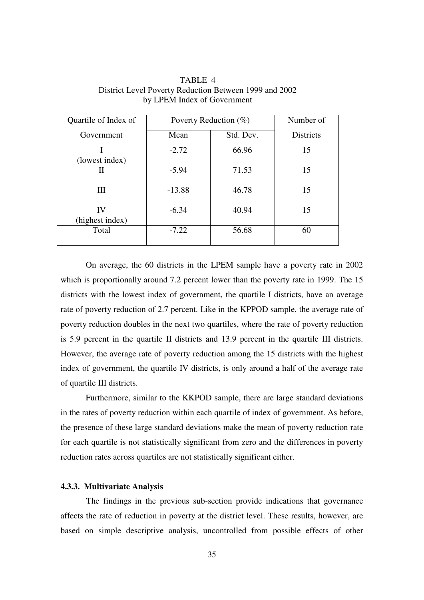| Quartile of Index of  | Poverty Reduction $(\%)$ |           | Number of        |
|-----------------------|--------------------------|-----------|------------------|
| Government            | Mean                     | Std. Dev. | <b>Districts</b> |
| (lowest index)        | $-2.72$                  | 66.96     | 15               |
| П                     | $-5.94$                  | 71.53     | 15               |
| Ш                     | $-13.88$                 | 46.78     | 15               |
| IV<br>(highest index) | $-6.34$                  | 40.94     | 15               |
| Total                 | $-7.22$                  | 56.68     | 60               |

TABLE 4 District Level Poverty Reduction Between 1999 and 2002 by LPEM Index of Government

On average, the 60 districts in the LPEM sample have a poverty rate in 2002 which is proportionally around 7.2 percent lower than the poverty rate in 1999. The 15 districts with the lowest index of government, the quartile I districts, have an average rate of poverty reduction of 2.7 percent. Like in the KPPOD sample, the average rate of poverty reduction doubles in the next two quartiles, where the rate of poverty reduction is 5.9 percent in the quartile II districts and 13.9 percent in the quartile III districts. However, the average rate of poverty reduction among the 15 districts with the highest index of government, the quartile IV districts, is only around a half of the average rate of quartile III districts.

Furthermore, similar to the KKPOD sample, there are large standard deviations in the rates of poverty reduction within each quartile of index of government. As before, the presence of these large standard deviations make the mean of poverty reduction rate for each quartile is not statistically significant from zero and the differences in poverty reduction rates across quartiles are not statistically significant either.

#### **4.3.3. Multivariate Analysis**

The findings in the previous sub-section provide indications that governance affects the rate of reduction in poverty at the district level. These results, however, are based on simple descriptive analysis, uncontrolled from possible effects of other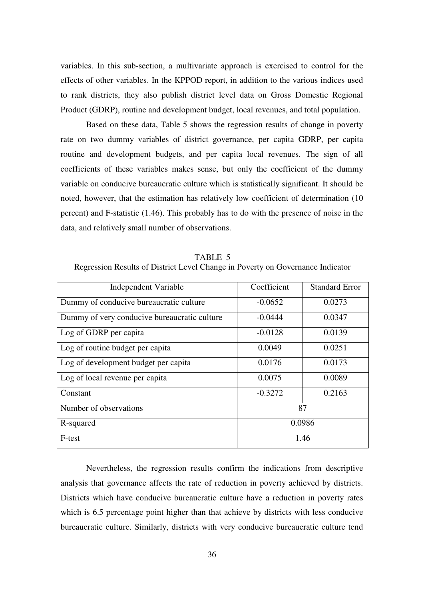variables. In this sub-section, a multivariate approach is exercised to control for the effects of other variables. In the KPPOD report, in addition to the various indices used to rank districts, they also publish district level data on Gross Domestic Regional Product (GDRP), routine and development budget, local revenues, and total population.

Based on these data, Table 5 shows the regression results of change in poverty rate on two dummy variables of district governance, per capita GDRP, per capita routine and development budgets, and per capita local revenues. The sign of all coefficients of these variables makes sense, but only the coefficient of the dummy variable on conducive bureaucratic culture which is statistically significant. It should be noted, however, that the estimation has relatively low coefficient of determination (10 percent) and F-statistic (1.46). This probably has to do with the presence of noise in the data, and relatively small number of observations.

TABLE 5 Regression Results of District Level Change in Poverty on Governance Indicator

| <b>Independent Variable</b>                  | Coefficient | <b>Standard Error</b> |  |
|----------------------------------------------|-------------|-----------------------|--|
| Dummy of conducive bureaucratic culture      | $-0.0652$   | 0.0273                |  |
| Dummy of very conducive bureaucratic culture | $-0.0444$   | 0.0347                |  |
| Log of GDRP per capita                       | $-0.0128$   | 0.0139                |  |
| Log of routine budget per capita             | 0.0049      | 0.0251                |  |
| Log of development budget per capita         | 0.0176      | 0.0173                |  |
| Log of local revenue per capita              | 0.0075      | 0.0089                |  |
| Constant                                     | $-0.3272$   | 0.2163                |  |
| Number of observations                       | 87          |                       |  |
| R-squared                                    | 0.0986      |                       |  |
| F-test                                       | 1.46        |                       |  |

Nevertheless, the regression results confirm the indications from descriptive analysis that governance affects the rate of reduction in poverty achieved by districts. Districts which have conducive bureaucratic culture have a reduction in poverty rates which is 6.5 percentage point higher than that achieve by districts with less conducive bureaucratic culture. Similarly, districts with very conducive bureaucratic culture tend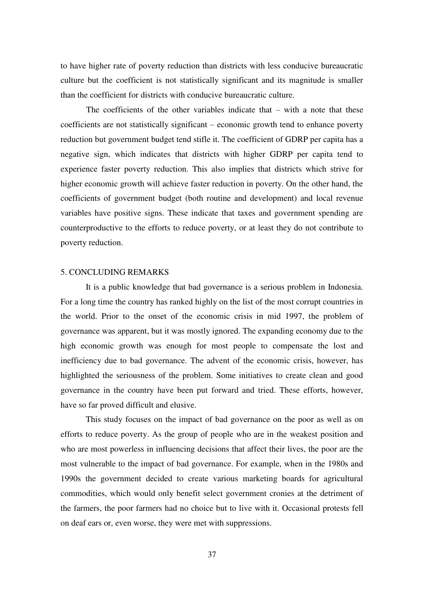to have higher rate of poverty reduction than districts with less conducive bureaucratic culture but the coefficient is not statistically significant and its magnitude is smaller than the coefficient for districts with conducive bureaucratic culture.

The coefficients of the other variables indicate that  $-$  with a note that these coefficients are not statistically significant – economic growth tend to enhance poverty reduction but government budget tend stifle it. The coefficient of GDRP per capita has a negative sign, which indicates that districts with higher GDRP per capita tend to experience faster poverty reduction. This also implies that districts which strive for higher economic growth will achieve faster reduction in poverty. On the other hand, the coefficients of government budget (both routine and development) and local revenue variables have positive signs. These indicate that taxes and government spending are counterproductive to the efforts to reduce poverty, or at least they do not contribute to poverty reduction.

#### 5. CONCLUDING REMARKS

It is a public knowledge that bad governance is a serious problem in Indonesia. For a long time the country has ranked highly on the list of the most corrupt countries in the world. Prior to the onset of the economic crisis in mid 1997, the problem of governance was apparent, but it was mostly ignored. The expanding economy due to the high economic growth was enough for most people to compensate the lost and inefficiency due to bad governance. The advent of the economic crisis, however, has highlighted the seriousness of the problem. Some initiatives to create clean and good governance in the country have been put forward and tried. These efforts, however, have so far proved difficult and elusive.

This study focuses on the impact of bad governance on the poor as well as on efforts to reduce poverty. As the group of people who are in the weakest position and who are most powerless in influencing decisions that affect their lives, the poor are the most vulnerable to the impact of bad governance. For example, when in the 1980s and 1990s the government decided to create various marketing boards for agricultural commodities, which would only benefit select government cronies at the detriment of the farmers, the poor farmers had no choice but to live with it. Occasional protests fell on deaf ears or, even worse, they were met with suppressions.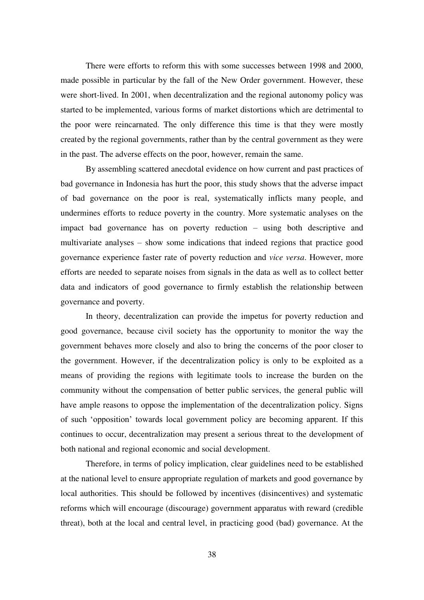There were efforts to reform this with some successes between 1998 and 2000, made possible in particular by the fall of the New Order government. However, these were short-lived. In 2001, when decentralization and the regional autonomy policy was started to be implemented, various forms of market distortions which are detrimental to the poor were reincarnated. The only difference this time is that they were mostly created by the regional governments, rather than by the central government as they were in the past. The adverse effects on the poor, however, remain the same.

By assembling scattered anecdotal evidence on how current and past practices of bad governance in Indonesia has hurt the poor, this study shows that the adverse impact of bad governance on the poor is real, systematically inflicts many people, and undermines efforts to reduce poverty in the country. More systematic analyses on the impact bad governance has on poverty reduction – using both descriptive and multivariate analyses – show some indications that indeed regions that practice good governance experience faster rate of poverty reduction and *vice versa*. However, more efforts are needed to separate noises from signals in the data as well as to collect better data and indicators of good governance to firmly establish the relationship between governance and poverty.

In theory, decentralization can provide the impetus for poverty reduction and good governance, because civil society has the opportunity to monitor the way the government behaves more closely and also to bring the concerns of the poor closer to the government. However, if the decentralization policy is only to be exploited as a means of providing the regions with legitimate tools to increase the burden on the community without the compensation of better public services, the general public will have ample reasons to oppose the implementation of the decentralization policy. Signs of such 'opposition' towards local government policy are becoming apparent. If this continues to occur, decentralization may present a serious threat to the development of both national and regional economic and social development.

Therefore, in terms of policy implication, clear guidelines need to be established at the national level to ensure appropriate regulation of markets and good governance by local authorities. This should be followed by incentives (disincentives) and systematic reforms which will encourage (discourage) government apparatus with reward (credible threat), both at the local and central level, in practicing good (bad) governance. At the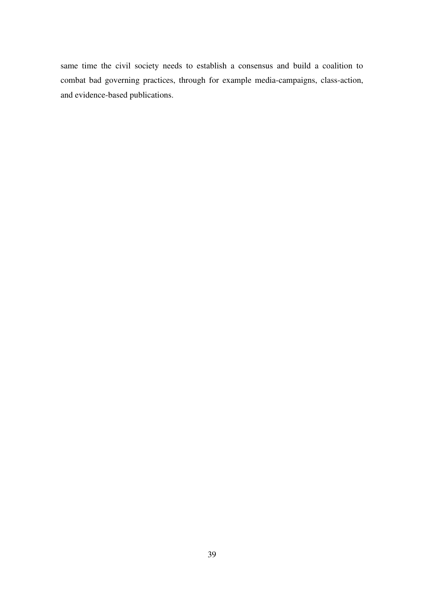same time the civil society needs to establish a consensus and build a coalition to combat bad governing practices, through for example media-campaigns, class-action, and evidence-based publications.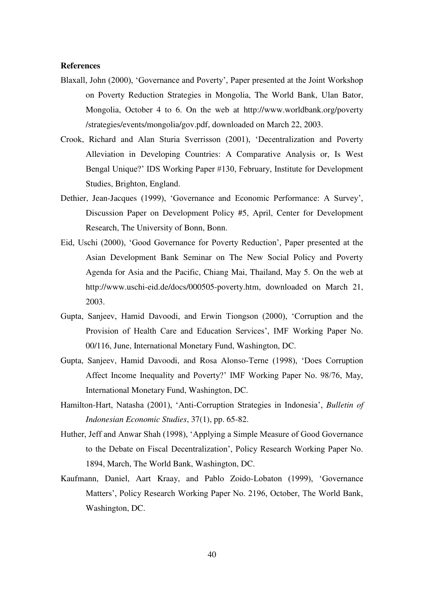### **References**

- Blaxall, John (2000), 'Governance and Poverty', Paper presented at the Joint Workshop on Poverty Reduction Strategies in Mongolia, The World Bank, Ulan Bator, Mongolia, October 4 to 6. On the web at [http://www.worldbank.org/poverty](http://www.worldbank.org/poverty/strategies/events/mongolia/gov.pdf)  [/strategies/events/mongolia/gov.pdf,](http://www.worldbank.org/poverty/strategies/events/mongolia/gov.pdf) downloaded on March 22, 2003.
- Crook, Richard and Alan Sturia Sverrisson (2001), 'Decentralization and Poverty Alleviation in Developing Countries: A Comparative Analysis or, Is West Bengal Unique?' IDS Working Paper #130, February, Institute for Development Studies, Brighton, England.
- Dethier, Jean-Jacques (1999), 'Governance and Economic Performance: A Survey', Discussion Paper on Development Policy #5, April, Center for Development Research, The University of Bonn, Bonn.
- Eid, Uschi (2000), 'Good Governance for Poverty Reduction', Paper presented at the Asian Development Bank Seminar on The New Social Policy and Poverty Agenda for Asia and the Pacific, Chiang Mai, Thailand, May 5. On the web at [http://www.uschi-eid.de/docs/000505-poverty.htm,](http://www.uschi-eid.de/docs/000505-poverty.htm) downloaded on March 21, 2003.
- Gupta, Sanjeev, Hamid Davoodi, and Erwin Tiongson (2000), 'Corruption and the Provision of Health Care and Education Services', IMF Working Paper No. 00/116, June, International Monetary Fund, Washington, DC.
- Gupta, Sanjeev, Hamid Davoodi, and Rosa Alonso-Terne (1998), 'Does Corruption Affect Income Inequality and Poverty?' IMF Working Paper No. 98/76, May, International Monetary Fund, Washington, DC.
- Hamilton-Hart, Natasha (2001), 'Anti-Corruption Strategies in Indonesia', *Bulletin of Indonesian Economic Studies*, 37(1), pp. 65-82.
- Huther, Jeff and Anwar Shah (1998), 'Applying a Simple Measure of Good Governance to the Debate on Fiscal Decentralization', Policy Research Working Paper No. 1894, March, The World Bank, Washington, DC.
- Kaufmann, Daniel, Aart Kraay, and Pablo Zoido-Lobaton (1999), 'Governance Matters', Policy Research Working Paper No. 2196, October, The World Bank, Washington, DC.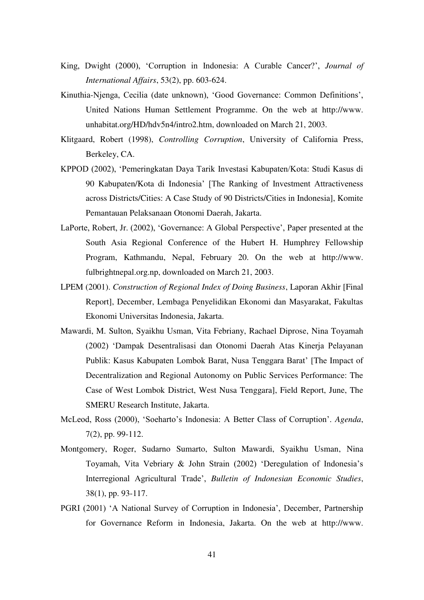- King, Dwight (2000), 'Corruption in Indonesia: A Curable Cancer?', *Journal of International Affairs*, 53(2), pp. 603-624.
- Kinuthia-Njenga, Cecilia (date unknown), 'Good Governance: Common Definitions', United Nations Human Settlement Programme. On the web at [http://www.](http://www.unhabitat.org/HD/hdv5n4/intro2.htm)  [unhabitat.org/HD/hdv5n4/intro2.htm,](http://www.unhabitat.org/HD/hdv5n4/intro2.htm) downloaded on March 21, 2003.
- Klitgaard, Robert (1998), *Controlling Corruption*, University of California Press, Berkeley, CA.
- KPPOD (2002), 'Pemeringkatan Daya Tarik Investasi Kabupaten/Kota: Studi Kasus di 90 Kabupaten/Kota di Indonesia' [The Ranking of Investment Attractiveness across Districts/Cities: A Case Study of 90 Districts/Cities in Indonesia], Komite Pemantauan Pelaksanaan Otonomi Daerah, Jakarta.
- LaPorte, Robert, Jr. (2002), 'Governance: A Global Perspective', Paper presented at the South Asia Regional Conference of the Hubert H. Humphrey Fellowship Program, Kathmandu, Nepal, February 20. On the web at [http://www.](http://www.fulbrightnepal.org.np/)  [fulbrightnepal.org.np,](http://www.fulbrightnepal.org.np/) downloaded on March 21, 2003.
- LPEM (2001). *Construction of Regional Index of Doing Business*, Laporan Akhir [Final Report], December, Lembaga Penyelidikan Ekonomi dan Masyarakat, Fakultas Ekonomi Universitas Indonesia, Jakarta.
- Mawardi, M. Sulton, Syaikhu Usman, Vita Febriany, Rachael Diprose, Nina Toyamah (2002) 'Dampak Desentralisasi dan Otonomi Daerah Atas Kinerja Pelayanan Publik: Kasus Kabupaten Lombok Barat, Nusa Tenggara Barat' [The Impact of Decentralization and Regional Autonomy on Public Services Performance: The Case of West Lombok District, West Nusa Tenggara], Field Report, June, The SMERU Research Institute, Jakarta.
- McLeod, Ross (2000), 'Soeharto's Indonesia: A Better Class of Corruption'. *Agenda*, 7(2), pp. 99-112.
- Montgomery, Roger, Sudarno Sumarto, Sulton Mawardi, Syaikhu Usman, Nina Toyamah, Vita Vebriary & John Strain (2002) 'Deregulation of Indonesia's Interregional Agricultural Trade', *Bulletin of Indonesian Economic Studies*, 38(1), pp. 93-117.
- PGRI (2001) 'A National Survey of Corruption in Indonesia', December, Partnership for Governance Reform in Indonesia, Jakarta. On the web at [http://www.](http://www.partnership.or.id/data/pdf/Indonesia_Final_Report_Dec_2001.pdf)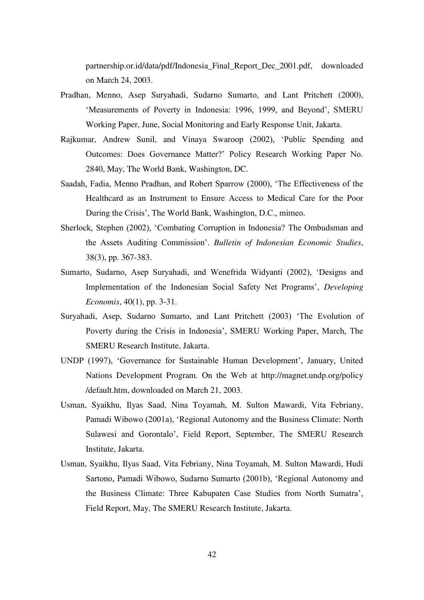[partnership.or.id/data/pdf/Indonesia\\_Final\\_Report\\_Dec\\_2001.pdf,](http://www.partnership.or.id/data/pdf/Indonesia_Final_Report_Dec_2001.pdf) downloaded on March 24, 2003.

- Pradhan, Menno, Asep Suryahadi, Sudarno Sumarto, and Lant Pritchett (2000), 'Measurements of Poverty in Indonesia: 1996, 1999, and Beyond', SMERU Working Paper, June, Social Monitoring and Early Response Unit, Jakarta.
- Rajkumar, Andrew Sunil, and Vinaya Swaroop (2002), 'Public Spending and Outcomes: Does Governance Matter?' Policy Research Working Paper No. 2840, May, The World Bank, Washington, DC.
- Saadah, Fadia, Menno Pradhan, and Robert Sparrow (2000), 'The Effectiveness of the Healthcard as an Instrument to Ensure Access to Medical Care for the Poor During the Crisis', The World Bank, Washington, D.C., mimeo.
- Sherlock, Stephen (2002), 'Combating Corruption in Indonesia? The Ombudsman and the Assets Auditing Commission'. *Bulletin of Indonesian Economic Studies*, 38(3), pp. 367-383.
- Sumarto, Sudarno, Asep Suryahadi, and Wenefrida Widyanti (2002), 'Designs and Implementation of the Indonesian Social Safety Net Programs', *Developing Economis*, 40(1), pp. 3-31.
- Suryahadi, Asep, Sudarno Sumarto, and Lant Pritchett (2003) 'The Evolution of Poverty during the Crisis in Indonesia', SMERU Working Paper, March, The SMERU Research Institute, Jakarta.
- UNDP (1997), 'Governance for Sustainable Human Development', January, United Nations Development Program. On the Web at [http://magnet.undp.org/policy](http://magnet.undp.org/policy/default.htm)  [/default.htm,](http://magnet.undp.org/policy/default.htm) downloaded on March 21, 2003.
- Usman, Syaikhu, Ilyas Saad, Nina Toyamah, M. Sulton Mawardi, Vita Febriany, Pamadi Wibowo (2001a), 'Regional Autonomy and the Business Climate: North Sulawesi and Gorontalo', Field Report, September, The SMERU Research Institute, Jakarta.
- Usman, Syaikhu, Ilyas Saad, Vita Febriany, Nina Toyamah, M. Sulton Mawardi, Hudi Sartono, Pamadi Wibowo, Sudarno Sumarto (2001b), 'Regional Autonomy and the Business Climate: Three Kabupaten Case Studies from North Sumatra', Field Report, May, The SMERU Research Institute, Jakarta.